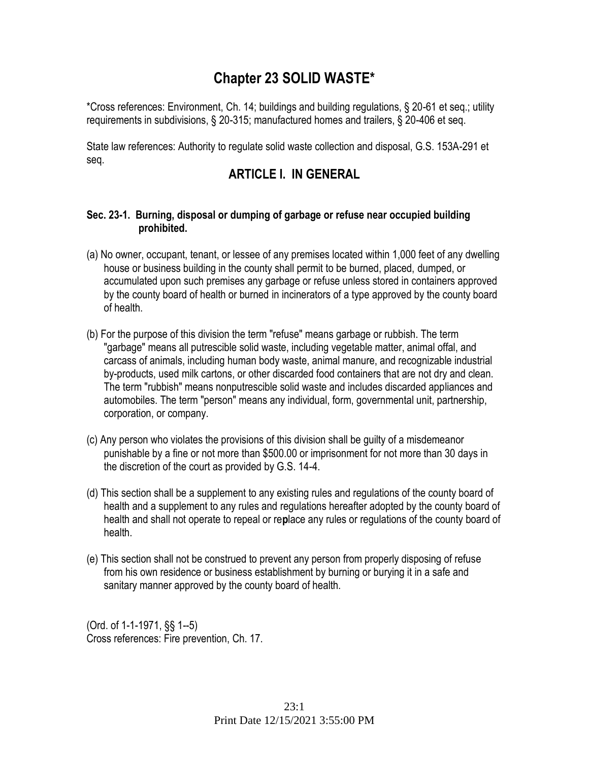# **Chapter 23 SOLID WASTE\***

\*Cross references: Environment, Ch. 14; buildings and building regulations, § 20-61 et seq.; utility requirements in subdivisions, § 20-315; manufactured homes and trailers, § 20-406 et seq.

State law references: Authority to regulate solid waste collection and disposal, G.S. 153A-291 et seq.

# **ARTICLE I. IN GENERAL**

### **Sec. 23-1. Burning, disposal or dumping of garbage or refuse near occupied building prohibited.**

- (a) No owner, occupant, tenant, or lessee of any premises located within 1,000 feet of any dwelling house or business building in the county shall permit to be burned, placed, dumped, or accumulated upon such premises any garbage or refuse unless stored in containers approved by the county board of health or burned in incinerators of a type approved by the county board of health.
- (b) For the purpose of this division the term "refuse" means garbage or rubbish. The term "garbage" means all putrescible solid waste, including vegetable matter, animal offal, and carcass of animals, including human body waste, animal manure, and recognizable industrial by-products, used milk cartons, or other discarded food containers that are not dry and clean. The term "rubbish" means nonputrescible solid waste and includes discarded appliances and automobiles. The term "person" means any individual, form, governmental unit, partnership, corporation, or company.
- (c) Any person who violates the provisions of this division shall be guilty of a misdemeanor punishable by a fine or not more than \$500.00 or imprisonment for not more than 30 days in the discretion of the court as provided by G.S. 14-4.
- (d) This section shall be a supplement to any existing rules and regulations of the county board of health and a supplement to any rules and regulations hereafter adopted by the county board of health and shall not operate to repeal or re**p**lace any rules or regulations of the county board of health.
- (e) This section shall not be construed to prevent any person from properly disposing of refuse from his own residence or business establishment by burning or burying it in a safe and sanitary manner approved by the county board of health.

(Ord. of 1-1-1971, §§ 1--5) Cross references: Fire prevention, Ch. 17.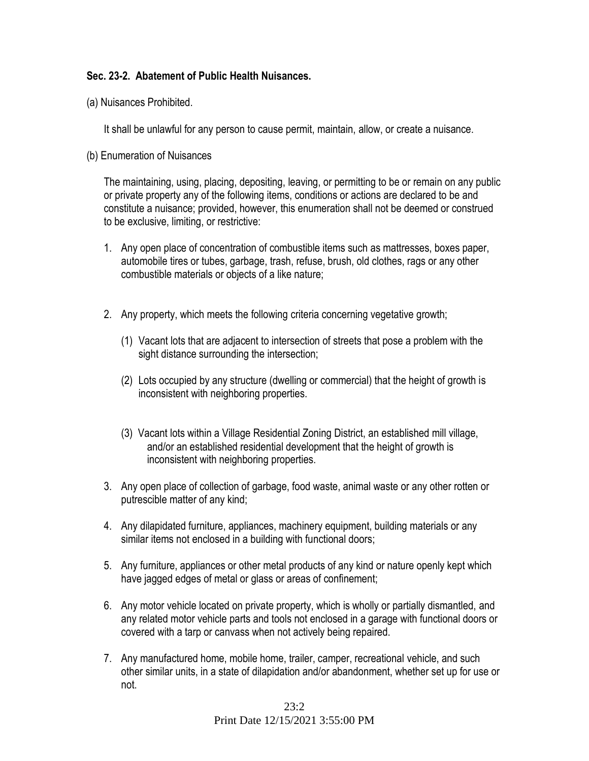## **Sec. 23-2. Abatement of Public Health Nuisances.**

(a) Nuisances Prohibited.

It shall be unlawful for any person to cause permit, maintain, allow, or create a nuisance.

(b) Enumeration of Nuisances

The maintaining, using, placing, depositing, leaving, or permitting to be or remain on any public or private property any of the following items, conditions or actions are declared to be and constitute a nuisance; provided, however, this enumeration shall not be deemed or construed to be exclusive, limiting, or restrictive:

- 1. Any open place of concentration of combustible items such as mattresses, boxes paper, automobile tires or tubes, garbage, trash, refuse, brush, old clothes, rags or any other combustible materials or objects of a like nature;
- 2. Any property, which meets the following criteria concerning vegetative growth;
	- (1) Vacant lots that are adjacent to intersection of streets that pose a problem with the sight distance surrounding the intersection;
	- (2) Lots occupied by any structure (dwelling or commercial) that the height of growth is inconsistent with neighboring properties.
	- (3) Vacant lots within a Village Residential Zoning District, an established mill village, and/or an established residential development that the height of growth is inconsistent with neighboring properties.
- 3. Any open place of collection of garbage, food waste, animal waste or any other rotten or putrescible matter of any kind;
- 4. Any dilapidated furniture, appliances, machinery equipment, building materials or any similar items not enclosed in a building with functional doors;
- 5. Any furniture, appliances or other metal products of any kind or nature openly kept which have jagged edges of metal or glass or areas of confinement;
- 6. Any motor vehicle located on private property, which is wholly or partially dismantled, and any related motor vehicle parts and tools not enclosed in a garage with functional doors or covered with a tarp or canvass when not actively being repaired.
- 7. Any manufactured home, mobile home, trailer, camper, recreational vehicle, and such other similar units, in a state of dilapidation and/or abandonment, whether set up for use or not.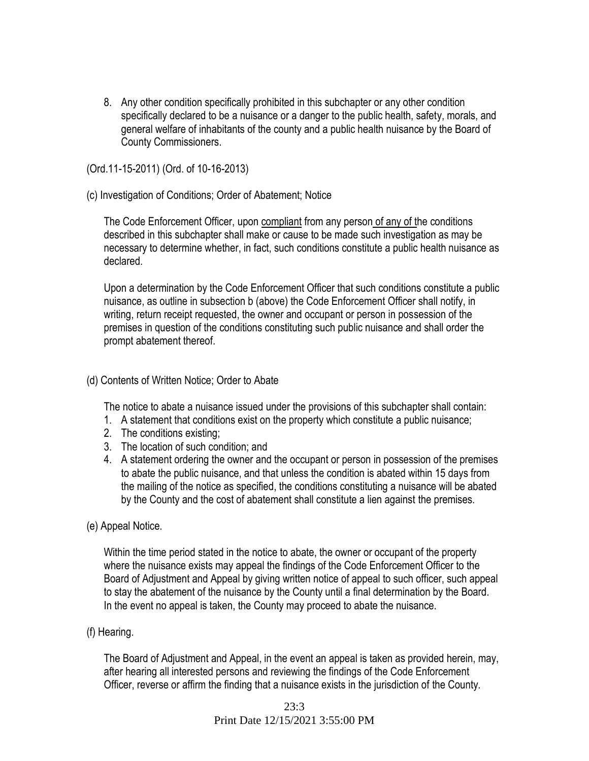8. Any other condition specifically prohibited in this subchapter or any other condition specifically declared to be a nuisance or a danger to the public health, safety, morals, and general welfare of inhabitants of the county and a public health nuisance by the Board of County Commissioners.

#### (Ord.11-15-2011) (Ord. of 10-16-2013)

#### (c) Investigation of Conditions; Order of Abatement; Notice

The Code Enforcement Officer, upon compliant from any person of any of the conditions described in this subchapter shall make or cause to be made such investigation as may be necessary to determine whether, in fact, such conditions constitute a public health nuisance as declared.

Upon a determination by the Code Enforcement Officer that such conditions constitute a public nuisance, as outline in subsection b (above) the Code Enforcement Officer shall notify, in writing, return receipt requested, the owner and occupant or person in possession of the premises in question of the conditions constituting such public nuisance and shall order the prompt abatement thereof.

#### (d) Contents of Written Notice; Order to Abate

The notice to abate a nuisance issued under the provisions of this subchapter shall contain:

- 1. A statement that conditions exist on the property which constitute a public nuisance;
- 2. The conditions existing;
- 3. The location of such condition; and
- 4. A statement ordering the owner and the occupant or person in possession of the premises to abate the public nuisance, and that unless the condition is abated within 15 days from the mailing of the notice as specified, the conditions constituting a nuisance will be abated by the County and the cost of abatement shall constitute a lien against the premises.

#### (e) Appeal Notice.

Within the time period stated in the notice to abate, the owner or occupant of the property where the nuisance exists may appeal the findings of the Code Enforcement Officer to the Board of Adjustment and Appeal by giving written notice of appeal to such officer, such appeal to stay the abatement of the nuisance by the County until a final determination by the Board. In the event no appeal is taken, the County may proceed to abate the nuisance.

#### (f) Hearing.

The Board of Adjustment and Appeal, in the event an appeal is taken as provided herein, may, after hearing all interested persons and reviewing the findings of the Code Enforcement Officer, reverse or affirm the finding that a nuisance exists in the jurisdiction of the County.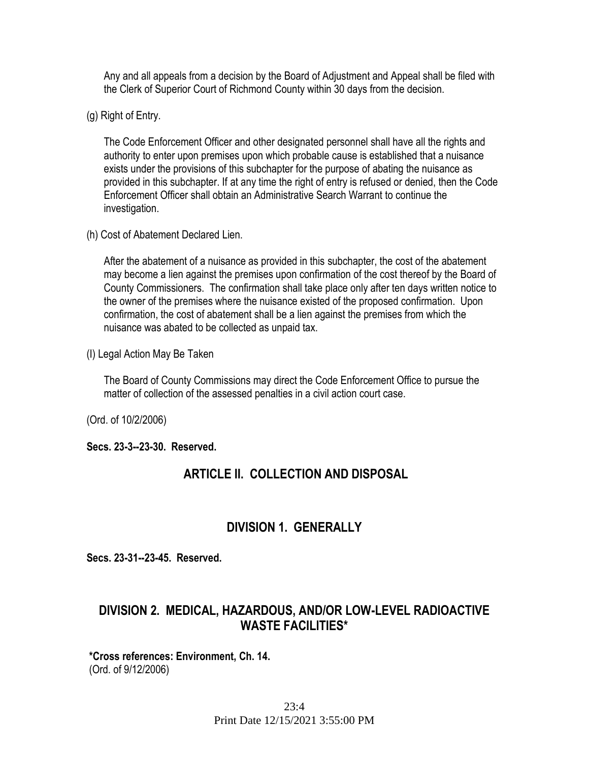Any and all appeals from a decision by the Board of Adjustment and Appeal shall be filed with the Clerk of Superior Court of Richmond County within 30 days from the decision.

(g) Right of Entry.

The Code Enforcement Officer and other designated personnel shall have all the rights and authority to enter upon premises upon which probable cause is established that a nuisance exists under the provisions of this subchapter for the purpose of abating the nuisance as provided in this subchapter. If at any time the right of entry is refused or denied, then the Code Enforcement Officer shall obtain an Administrative Search Warrant to continue the investigation.

(h) Cost of Abatement Declared Lien.

After the abatement of a nuisance as provided in this subchapter, the cost of the abatement may become a lien against the premises upon confirmation of the cost thereof by the Board of County Commissioners. The confirmation shall take place only after ten days written notice to the owner of the premises where the nuisance existed of the proposed confirmation. Upon confirmation, the cost of abatement shall be a lien against the premises from which the nuisance was abated to be collected as unpaid tax.

(I) Legal Action May Be Taken

The Board of County Commissions may direct the Code Enforcement Office to pursue the matter of collection of the assessed penalties in a civil action court case.

(Ord. of 10/2/2006)

### **Secs. 23-3--23-30. Reserved.**

## **ARTICLE II. COLLECTION AND DISPOSAL**

## **DIVISION 1. GENERALLY**

**Secs. 23-31--23-45. Reserved.** 

# **DIVISION 2. MEDICAL, HAZARDOUS, AND/OR LOW-LEVEL RADIOACTIVE WASTE FACILITIES\***

#### **\*Cross references: Environment, Ch. 14.**  (Ord. of 9/12/2006)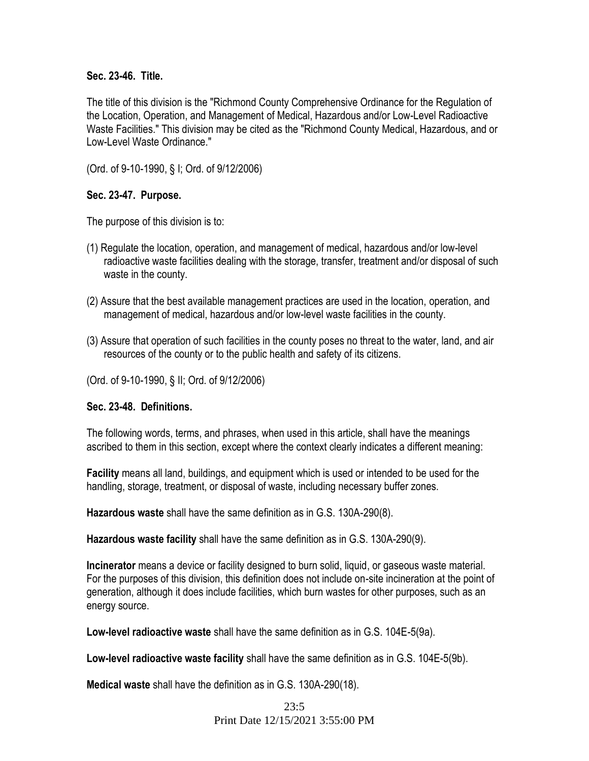#### **Sec. 23-46. Title.**

The title of this division is the "Richmond County Comprehensive Ordinance for the Regulation of the Location, Operation, and Management of Medical, Hazardous and/or Low-Level Radioactive Waste Facilities." This division may be cited as the "Richmond County Medical, Hazardous, and or Low-Level Waste Ordinance."

(Ord. of 9-10-1990, § I; Ord. of 9/12/2006)

### **Sec. 23-47. Purpose.**

The purpose of this division is to:

- (1) Regulate the location, operation, and management of medical, hazardous and/or low-level radioactive waste facilities dealing with the storage, transfer, treatment and/or disposal of such waste in the county.
- (2) Assure that the best available management practices are used in the location, operation, and management of medical, hazardous and/or low-level waste facilities in the county.
- (3) Assure that operation of such facilities in the county poses no threat to the water, land, and air resources of the county or to the public health and safety of its citizens.

(Ord. of 9-10-1990, § II; Ord. of 9/12/2006)

### **Sec. 23-48. Definitions.**

The following words, terms, and phrases, when used in this article, shall have the meanings ascribed to them in this section, except where the context clearly indicates a different meaning:

**Facility** means all land, buildings, and equipment which is used or intended to be used for the handling, storage, treatment, or disposal of waste, including necessary buffer zones.

**Hazardous waste** shall have the same definition as in G.S. 130A-290(8).

**Hazardous waste facility** shall have the same definition as in G.S. 130A-290(9).

**Incinerator** means a device or facility designed to burn solid, liquid, or gaseous waste material. For the purposes of this division, this definition does not include on-site incineration at the point of generation, although it does include facilities, which burn wastes for other purposes, such as an energy source.

**Low-level radioactive waste** shall have the same definition as in G.S. 104E-5(9a).

**Low-level radioactive waste facility** shall have the same definition as in G.S. 104E-5(9b).

**Medical waste** shall have the definition as in G.S. 130A-290(18).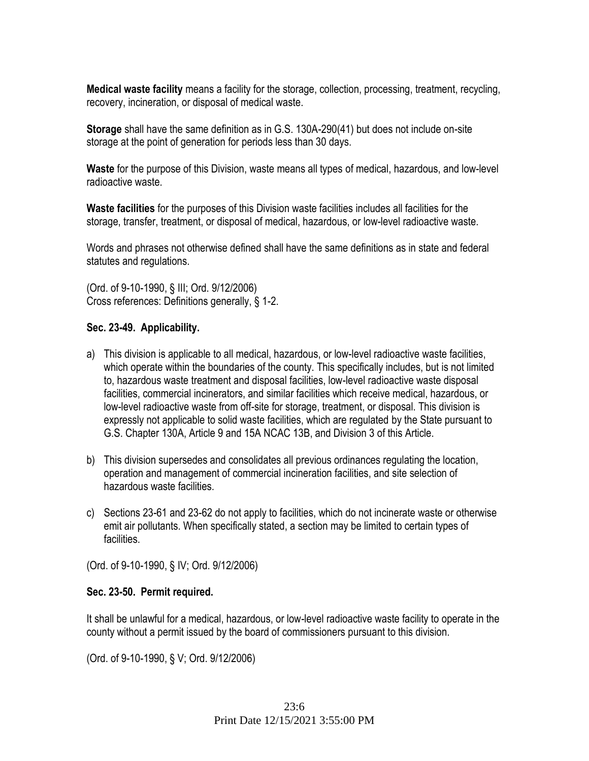**Medical waste facility** means a facility for the storage, collection, processing, treatment, recycling, recovery, incineration, or disposal of medical waste.

**Storage** shall have the same definition as in G.S. 130A-290(41) but does not include on-site storage at the point of generation for periods less than 30 days.

**Waste** for the purpose of this Division, waste means all types of medical, hazardous, and low-level radioactive waste.

**Waste facilities** for the purposes of this Division waste facilities includes all facilities for the storage, transfer, treatment, or disposal of medical, hazardous, or low-level radioactive waste.

Words and phrases not otherwise defined shall have the same definitions as in state and federal statutes and regulations.

(Ord. of 9-10-1990, § III; Ord. 9/12/2006) Cross references: Definitions generally, § 1-2.

## **Sec. 23-49. Applicability.**

- a) This division is applicable to all medical, hazardous, or low-level radioactive waste facilities, which operate within the boundaries of the county. This specifically includes, but is not limited to, hazardous waste treatment and disposal facilities, low-level radioactive waste disposal facilities, commercial incinerators, and similar facilities which receive medical, hazardous, or low-level radioactive waste from off-site for storage, treatment, or disposal. This division is expressly not applicable to solid waste facilities, which are regulated by the State pursuant to G.S. Chapter 130A, Article 9 and 15A NCAC 13B, and Division 3 of this Article.
- b) This division supersedes and consolidates all previous ordinances regulating the location, operation and management of commercial incineration facilities, and site selection of hazardous waste facilities.
- c) Sections 23-61 and 23-62 do not apply to facilities, which do not incinerate waste or otherwise emit air pollutants. When specifically stated, a section may be limited to certain types of facilities.

(Ord. of 9-10-1990, § IV; Ord. 9/12/2006)

### **Sec. 23-50. Permit required.**

It shall be unlawful for a medical, hazardous, or low-level radioactive waste facility to operate in the county without a permit issued by the board of commissioners pursuant to this division.

(Ord. of 9-10-1990, § V; Ord. 9/12/2006)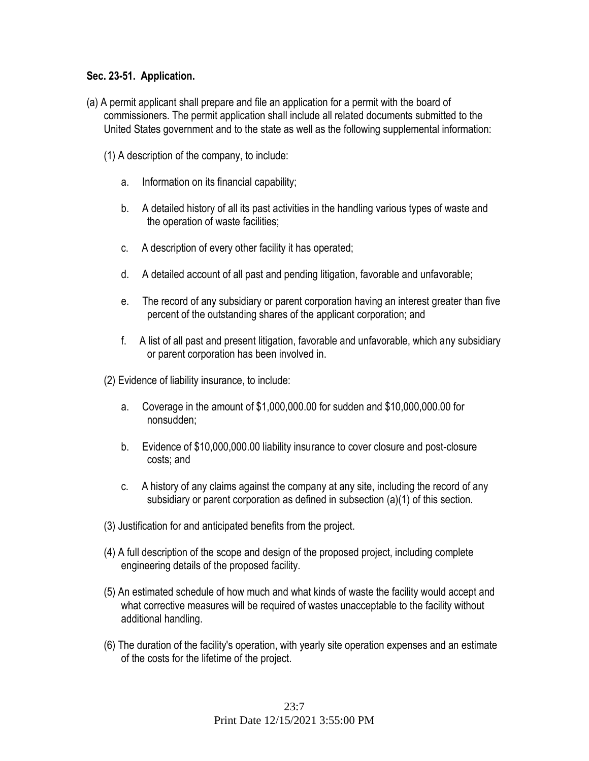## **Sec. 23-51. Application.**

- (a) A permit applicant shall prepare and file an application for a permit with the board of commissioners. The permit application shall include all related documents submitted to the United States government and to the state as well as the following supplemental information:
	- (1) A description of the company, to include:
		- a. Information on its financial capability;
		- b. A detailed history of all its past activities in the handling various types of waste and the operation of waste facilities;
		- c. A description of every other facility it has operated;
		- d. A detailed account of all past and pending litigation, favorable and unfavorable;
		- e. The record of any subsidiary or parent corporation having an interest greater than five percent of the outstanding shares of the applicant corporation; and
		- f. A list of all past and present litigation, favorable and unfavorable, which any subsidiary or parent corporation has been involved in.

(2) Evidence of liability insurance, to include:

- a. Coverage in the amount of \$1,000,000.00 for sudden and \$10,000,000.00 for nonsudden;
- b. Evidence of \$10,000,000.00 liability insurance to cover closure and post-closure costs; and
- c. A history of any claims against the company at any site, including the record of any subsidiary or parent corporation as defined in subsection (a)(1) of this section.
- (3) Justification for and anticipated benefits from the project.
- (4) A full description of the scope and design of the proposed project, including complete engineering details of the proposed facility.
- (5) An estimated schedule of how much and what kinds of waste the facility would accept and what corrective measures will be required of wastes unacceptable to the facility without additional handling.
- (6) The duration of the facility's operation, with yearly site operation expenses and an estimate of the costs for the lifetime of the project.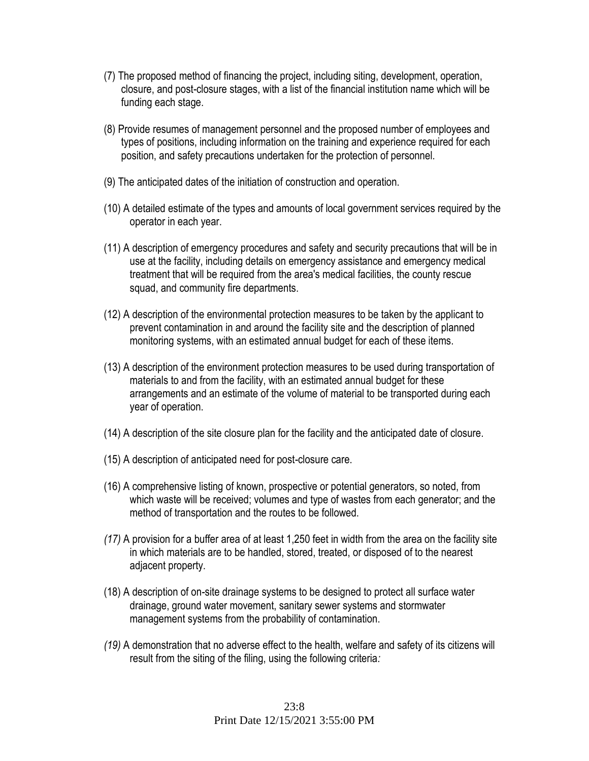- (7) The proposed method of financing the project, including siting, development, operation, closure, and post-closure stages, with a list of the financial institution name which will be funding each stage.
- (8) Provide resumes of management personnel and the proposed number of employees and types of positions, including information on the training and experience required for each position, and safety precautions undertaken for the protection of personnel.
- (9) The anticipated dates of the initiation of construction and operation.
- (10) A detailed estimate of the types and amounts of local government services required by the operator in each year.
- (11) A description of emergency procedures and safety and security precautions that will be in use at the facility, including details on emergency assistance and emergency medical treatment that will be required from the area's medical facilities, the county rescue squad, and community fire departments.
- (12) A description of the environmental protection measures to be taken by the applicant to prevent contamination in and around the facility site and the description of planned monitoring systems, with an estimated annual budget for each of these items.
- (13) A description of the environment protection measures to be used during transportation of materials to and from the facility, with an estimated annual budget for these arrangements and an estimate of the volume of material to be transported during each year of operation.
- (14) A description of the site closure plan for the facility and the anticipated date of closure.
- (15) A description of anticipated need for post-closure care.
- (16) A comprehensive listing of known, prospective or potential generators, so noted, from which waste will be received; volumes and type of wastes from each generator; and the method of transportation and the routes to be followed.
- *(17)* A provision for a buffer area of at least 1,250 feet in width from the area on the facility site in which materials are to be handled, stored, treated, or disposed of to the nearest adjacent property.
- (18) A description of on-site drainage systems to be designed to protect all surface water drainage, ground water movement, sanitary sewer systems and stormwater management systems from the probability of contamination.
- *(19)* A demonstration that no adverse effect to the health, welfare and safety of its citizens will result from the siting of the filing, using the following criteria*:*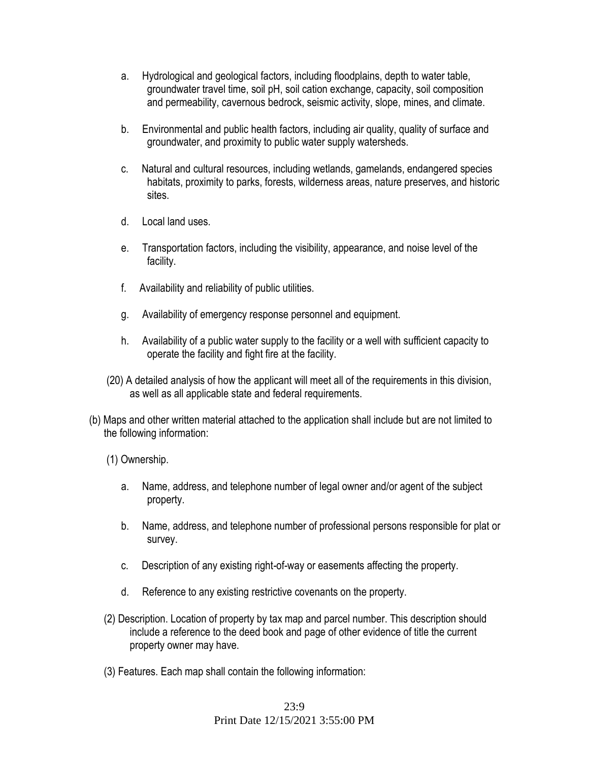- a. Hydrological and geological factors, including floodplains, depth to water table, groundwater travel time, soil pH, soil cation exchange, capacity, soil composition and permeability, cavernous bedrock, seismic activity, slope, mines, and climate.
- b. Environmental and public health factors, including air quality, quality of surface and groundwater, and proximity to public water supply watersheds.
- c. Natural and cultural resources, including wetlands, gamelands, endangered species habitats, proximity to parks, forests, wilderness areas, nature preserves, and historic sites.
- d. Local land uses.
- e. Transportation factors, including the visibility, appearance, and noise level of the facility.
- f. Availability and reliability of public utilities.
- g. Availability of emergency response personnel and equipment.
- h. Availability of a public water supply to the facility or a well with sufficient capacity to operate the facility and fight fire at the facility.
- (20) A detailed analysis of how the applicant will meet all of the requirements in this division, as well as all applicable state and federal requirements.
- (b) Maps and other written material attached to the application shall include but are not limited to the following information:
	- (1) Ownership.
		- a. Name, address, and telephone number of legal owner and/or agent of the subject property.
		- b. Name, address, and telephone number of professional persons responsible for plat or survey.
		- c. Description of any existing right-of-way or easements affecting the property.
		- d. Reference to any existing restrictive covenants on the property.
	- (2) Description. Location of property by tax map and parcel number. This description should include a reference to the deed book and page of other evidence of title the current property owner may have.
	- (3) Features. Each map shall contain the following information: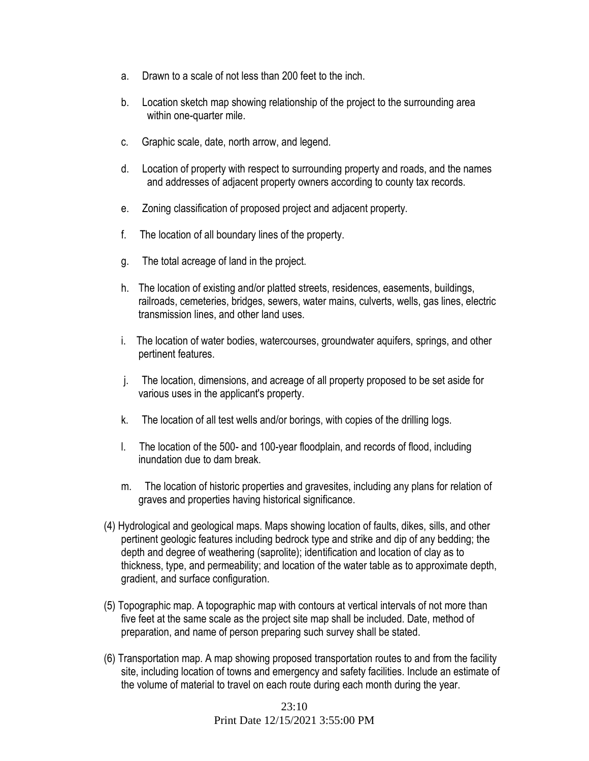- a. Drawn to a scale of not less than 200 feet to the inch.
- b. Location sketch map showing relationship of the project to the surrounding area within one-quarter mile.
- c. Graphic scale, date, north arrow, and legend.
- d. Location of property with respect to surrounding property and roads, and the names and addresses of adjacent property owners according to county tax records.
- e. Zoning classification of proposed project and adjacent property.
- f. The location of all boundary lines of the property.
- g. The total acreage of land in the project.
- h. The location of existing and/or platted streets, residences, easements, buildings, railroads, cemeteries, bridges, sewers, water mains, culverts, wells, gas lines, electric transmission lines, and other land uses.
- i. The location of water bodies, watercourses, groundwater aquifers, springs, and other pertinent features.
- j. The location, dimensions, and acreage of all property proposed to be set aside for various uses in the applicant's property.
- k. The location of all test wells and/or borings, with copies of the drilling logs.
- l. The location of the 500- and 100-year floodplain, and records of flood, including inundation due to dam break.
- m. The location of historic properties and gravesites, including any plans for relation of graves and properties having historical significance.
- (4) Hydrological and geological maps. Maps showing location of faults, dikes, sills, and other pertinent geologic features including bedrock type and strike and dip of any bedding; the depth and degree of weathering (saprolite); identification and location of clay as to thickness, type, and permeability; and location of the water table as to approximate depth, gradient, and surface configuration.
- (5) Topographic map. A topographic map with contours at vertical intervals of not more than five feet at the same scale as the project site map shall be included. Date, method of preparation, and name of person preparing such survey shall be stated.
- (6) Transportation map. A map showing proposed transportation routes to and from the facility site, including location of towns and emergency and safety facilities. Include an estimate of the volume of material to travel on each route during each month during the year.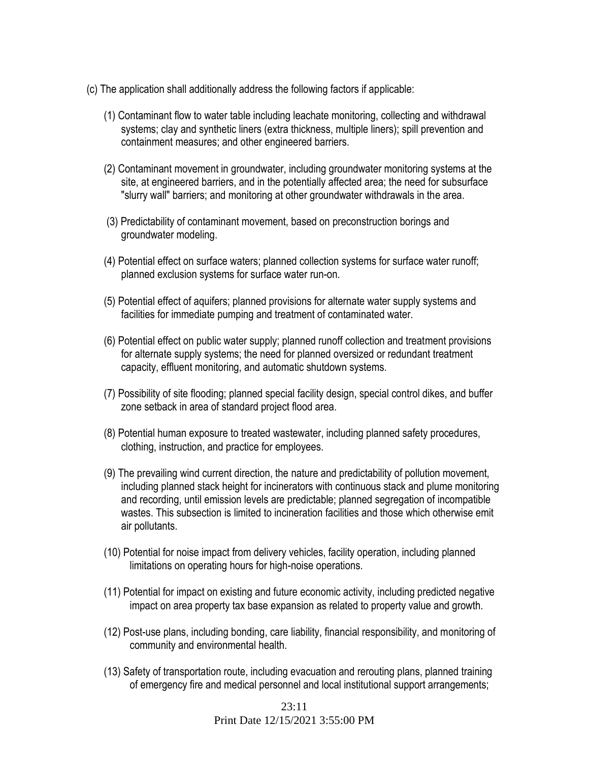- (c) The application shall additionally address the following factors if applicable:
	- (1) Contaminant flow to water table including leachate monitoring, collecting and withdrawal systems; clay and synthetic liners (extra thickness, multiple liners); spill prevention and containment measures; and other engineered barriers.
	- (2) Contaminant movement in groundwater, including groundwater monitoring systems at the site, at engineered barriers, and in the potentially affected area; the need for subsurface "slurry wall" barriers; and monitoring at other groundwater withdrawals in the area.
	- (3) Predictability of contaminant movement, based on preconstruction borings and groundwater modeling.
	- (4) Potential effect on surface waters; planned collection systems for surface water runoff; planned exclusion systems for surface water run-on.
	- (5) Potential effect of aquifers; planned provisions for alternate water supply systems and facilities for immediate pumping and treatment of contaminated water.
	- (6) Potential effect on public water supply; planned runoff collection and treatment provisions for alternate supply systems; the need for planned oversized or redundant treatment capacity, effluent monitoring, and automatic shutdown systems.
	- (7) Possibility of site flooding; planned special facility design, special control dikes, and buffer zone setback in area of standard project flood area.
	- (8) Potential human exposure to treated wastewater, including planned safety procedures, clothing, instruction, and practice for employees.
	- (9) The prevailing wind current direction, the nature and predictability of pollution movement, including planned stack height for incinerators with continuous stack and plume monitoring and recording, until emission levels are predictable; planned segregation of incompatible wastes. This subsection is limited to incineration facilities and those which otherwise emit air pollutants.
	- (10) Potential for noise impact from delivery vehicles, facility operation, including planned limitations on operating hours for high-noise operations.
	- (11) Potential for impact on existing and future economic activity, including predicted negative impact on area property tax base expansion as related to property value and growth.
	- (12) Post-use plans, including bonding, care liability, financial responsibility, and monitoring of community and environmental health.
	- (13) Safety of transportation route, including evacuation and rerouting plans, planned training of emergency fire and medical personnel and local institutional support arrangements;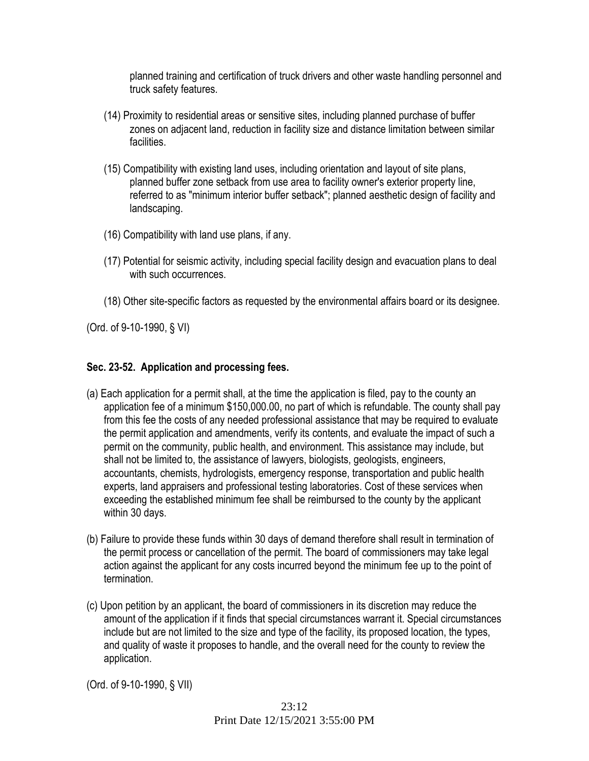planned training and certification of truck drivers and other waste handling personnel and truck safety features.

- (14) Proximity to residential areas or sensitive sites, including planned purchase of buffer zones on adjacent land, reduction in facility size and distance limitation between similar facilities.
- (15) Compatibility with existing land uses, including orientation and layout of site plans, planned buffer zone setback from use area to facility owner's exterior property line, referred to as "minimum interior buffer setback"; planned aesthetic design of facility and landscaping.
- (16) Compatibility with land use plans, if any.
- (17) Potential for seismic activity, including special facility design and evacuation plans to deal with such occurrences.
- (18) Other site-specific factors as requested by the environmental affairs board or its designee.

(Ord. of 9-10-1990, § VI)

## **Sec. 23-52. Application and processing fees.**

- (a) Each application for a permit shall, at the time the application is filed, pay to the county an application fee of a minimum \$150,000.00, no part of which is refundable. The county shall pay from this fee the costs of any needed professional assistance that may be required to evaluate the permit application and amendments, verify its contents, and evaluate the impact of such a permit on the community, public health, and environment. This assistance may include, but shall not be limited to, the assistance of lawyers, biologists, geologists, engineers, accountants, chemists, hydrologists, emergency response, transportation and public health experts, land appraisers and professional testing laboratories. Cost of these services when exceeding the established minimum fee shall be reimbursed to the county by the applicant within 30 days.
- (b) Failure to provide these funds within 30 days of demand therefore shall result in termination of the permit process or cancellation of the permit. The board of commissioners may take legal action against the applicant for any costs incurred beyond the minimum fee up to the point of termination.
- (c) Upon petition by an applicant, the board of commissioners in its discretion may reduce the amount of the application if it finds that special circumstances warrant it. Special circumstances include but are not limited to the size and type of the facility, its proposed location, the types, and quality of waste it proposes to handle, and the overall need for the county to review the application.

(Ord. of 9-10-1990, § VII)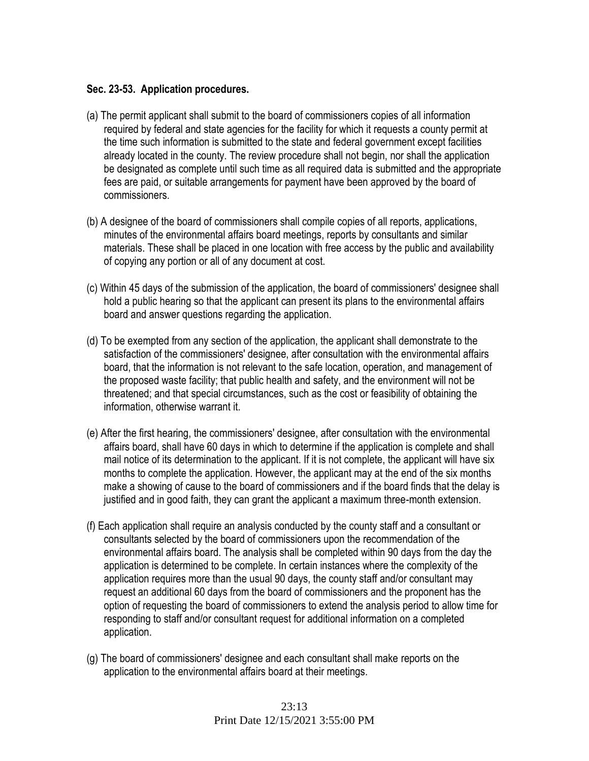### **Sec. 23-53. Application procedures.**

- (a) The permit applicant shall submit to the board of commissioners copies of all information required by federal and state agencies for the facility for which it requests a county permit at the time such information is submitted to the state and federal government except facilities already located in the county. The review procedure shall not begin, nor shall the application be designated as complete until such time as all required data is submitted and the appropriate fees are paid, or suitable arrangements for payment have been approved by the board of commissioners.
- (b) A designee of the board of commissioners shall compile copies of all reports, applications, minutes of the environmental affairs board meetings, reports by consultants and similar materials. These shall be placed in one location with free access by the public and availability of copying any portion or all of any document at cost.
- (c) Within 45 days of the submission of the application, the board of commissioners' designee shall hold a public hearing so that the applicant can present its plans to the environmental affairs board and answer questions regarding the application.
- (d) To be exempted from any section of the application, the applicant shall demonstrate to the satisfaction of the commissioners' designee, after consultation with the environmental affairs board, that the information is not relevant to the safe location, operation, and management of the proposed waste facility; that public health and safety, and the environment will not be threatened; and that special circumstances, such as the cost or feasibility of obtaining the information, otherwise warrant it.
- (e) After the first hearing, the commissioners' designee, after consultation with the environmental affairs board, shall have 60 days in which to determine if the application is complete and shall mail notice of its determination to the applicant. If it is not complete, the applicant will have six months to complete the application. However, the applicant may at the end of the six months make a showing of cause to the board of commissioners and if the board finds that the delay is justified and in good faith, they can grant the applicant a maximum three-month extension.
- (f) Each application shall require an analysis conducted by the county staff and a consultant or consultants selected by the board of commissioners upon the recommendation of the environmental affairs board. The analysis shall be completed within 90 days from the day the application is determined to be complete. In certain instances where the complexity of the application requires more than the usual 90 days, the county staff and/or consultant may request an additional 60 days from the board of commissioners and the proponent has the option of requesting the board of commissioners to extend the analysis period to allow time for responding to staff and/or consultant request for additional information on a completed application.
- (g) The board of commissioners' designee and each consultant shall make reports on the application to the environmental affairs board at their meetings.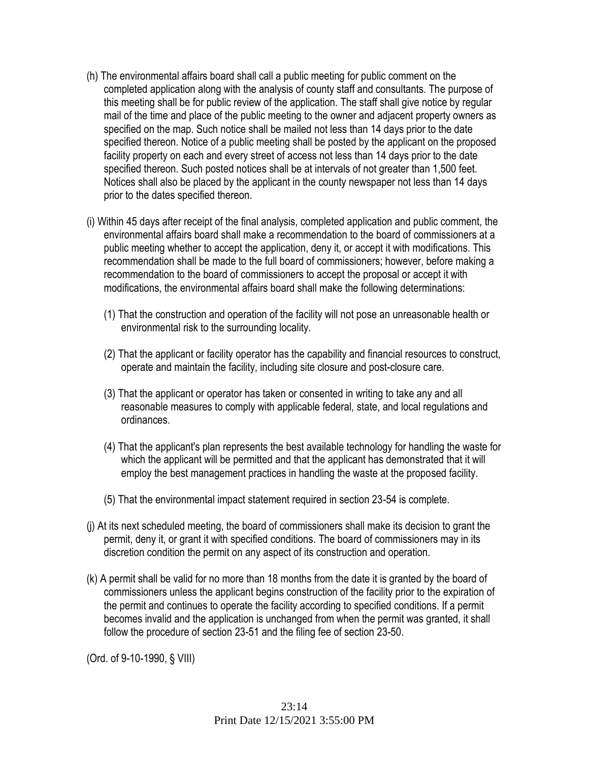- (h) The environmental affairs board shall call a public meeting for public comment on the completed application along with the analysis of county staff and consultants. The purpose of this meeting shall be for public review of the application. The staff shall give notice by regular mail of the time and place of the public meeting to the owner and adjacent property owners as specified on the map. Such notice shall be mailed not less than 14 days prior to the date specified thereon. Notice of a public meeting shall be posted by the applicant on the proposed facility property on each and every street of access not less than 14 days prior to the date specified thereon. Such posted notices shall be at intervals of not greater than 1,500 feet. Notices shall also be placed by the applicant in the county newspaper not less than 14 days prior to the dates specified thereon.
- (i) Within 45 days after receipt of the final analysis, completed application and public comment, the environmental affairs board shall make a recommendation to the board of commissioners at a public meeting whether to accept the application, deny it, or accept it with modifications. This recommendation shall be made to the full board of commissioners; however, before making a recommendation to the board of commissioners to accept the proposal or accept it with modifications, the environmental affairs board shall make the following determinations:
	- (1) That the construction and operation of the facility will not pose an unreasonable health or environmental risk to the surrounding locality.
	- (2) That the applicant or facility operator has the capability and financial resources to construct, operate and maintain the facility, including site closure and post-closure care.
	- (3) That the applicant or operator has taken or consented in writing to take any and all reasonable measures to comply with applicable federal, state, and local regulations and ordinances.
	- (4) That the applicant's plan represents the best available technology for handling the waste for which the applicant will be permitted and that the applicant has demonstrated that it will employ the best management practices in handling the waste at the proposed facility.
	- (5) That the environmental impact statement required in section 23-54 is complete.
- (j) At its next scheduled meeting, the board of commissioners shall make its decision to grant the permit, deny it, or grant it with specified conditions. The board of commissioners may in its discretion condition the permit on any aspect of its construction and operation.
- (k) A permit shall be valid for no more than 18 months from the date it is granted by the board of commissioners unless the applicant begins construction of the facility prior to the expiration of the permit and continues to operate the facility according to specified conditions. If a permit becomes invalid and the application is unchanged from when the permit was granted, it shall follow the procedure of section 23-51 and the filing fee of section 23-50.

(Ord. of 9-10-1990, § VIII)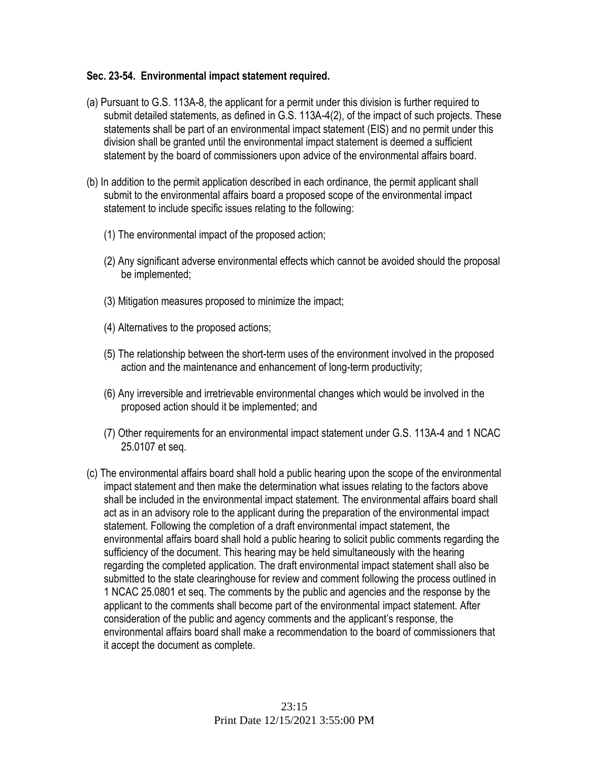#### **Sec. 23-54. Environmental impact statement required.**

- (a) Pursuant to G.S. 113A-8, the applicant for a permit under this division is further required to submit detailed statements, as defined in G.S. 113A-4(2), of the impact of such projects. These statements shall be part of an environmental impact statement (EIS) and no permit under this division shall be granted until the environmental impact statement is deemed a sufficient statement by the board of commissioners upon advice of the environmental affairs board.
- (b) In addition to the permit application described in each ordinance, the permit applicant shall submit to the environmental affairs board a proposed scope of the environmental impact statement to include specific issues relating to the following:
	- (1) The environmental impact of the proposed action;
	- (2) Any significant adverse environmental effects which cannot be avoided should the proposal be implemented;
	- (3) Mitigation measures proposed to minimize the impact;
	- (4) Alternatives to the proposed actions;
	- (5) The relationship between the short-term uses of the environment involved in the proposed action and the maintenance and enhancement of long-term productivity;
	- (6) Any irreversible and irretrievable environmental changes which would be involved in the proposed action should it be implemented; and
	- (7) Other requirements for an environmental impact statement under G.S. 113A-4 and 1 NCAC 25.0107 et seq.
- (c) The environmental affairs board shall hold a public hearing upon the scope of the environmental impact statement and then make the determination what issues relating to the factors above shall be included in the environmental impact statement. The environmental affairs board shall act as in an advisory role to the applicant during the preparation of the environmental impact statement. Following the completion of a draft environmental impact statement, the environmental affairs board shall hold a public hearing to solicit public comments regarding the sufficiency of the document. This hearing may be held simultaneously with the hearing regarding the completed application. The draft environmental impact statement shall also be submitted to the state clearinghouse for review and comment following the process outlined in 1 NCAC 25.0801 et seq. The comments by the public and agencies and the response by the applicant to the comments shall become part of the environmental impact statement. After consideration of the public and agency comments and the applicant's response, the environmental affairs board shall make a recommendation to the board of commissioners that it accept the document as complete.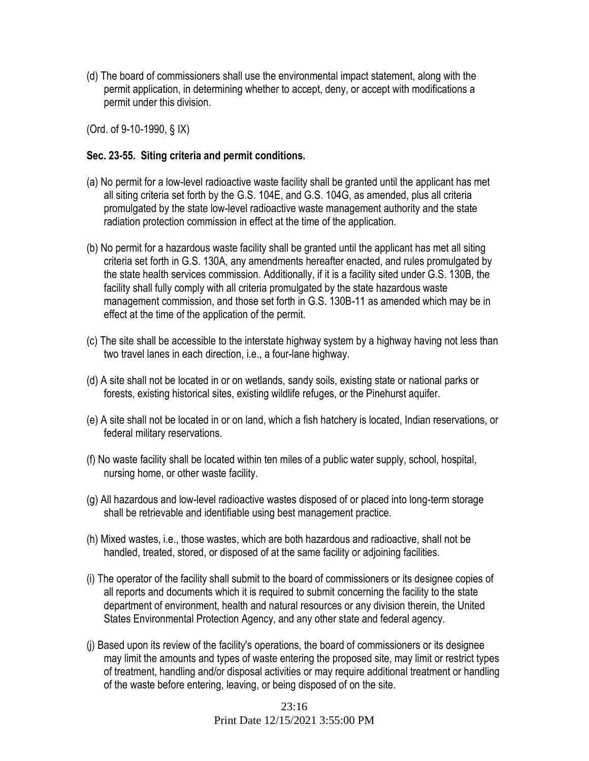(d) The board of commissioners shall use the environmental impact statement, along with the permit application, in determining whether to accept, deny, or accept with modifications a permit under this division.

(Ord. of 9-10-1990, § IX)

#### **Sec. 23-55. Siting criteria and permit conditions.**

- (a) No permit for a low-level radioactive waste facility shall be granted until the applicant has met all siting criteria set forth by the G.S. 104E, and G.S. 104G, as amended, plus all criteria promulgated by the state low-level radioactive waste management authority and the state radiation protection commission in effect at the time of the application.
- (b) No permit for a hazardous waste facility shall be granted until the applicant has met all siting criteria set forth in G.S. 130A, any amendments hereafter enacted, and rules promulgated by the state health services commission. Additionally, if it is a facility sited under G.S. 130B, the facility shall fully comply with all criteria promulgated by the state hazardous waste management commission, and those set forth in G.S. 130B-11 as amended which may be in effect at the time of the application of the permit.
- (c) The site shall be accessible to the interstate highway system by a highway having not less than two travel lanes in each direction, i.e., a four-lane highway.
- (d) A site shall not be located in or on wetlands, sandy soils, existing state or national parks or forests, existing historical sites, existing wildlife refuges, or the Pinehurst aquifer.
- (e) A site shall not be located in or on land, which a fish hatchery is located, Indian reservations, or federal military reservations.
- (f) No waste facility shall be located within ten miles of a public water supply, school, hospital, nursing home, or other waste facility.
- (g) All hazardous and low-level radioactive wastes disposed of or placed into long-term storage shall be retrievable and identifiable using best management practice.
- (h) Mixed wastes, i.e., those wastes, which are both hazardous and radioactive, shall not be handled, treated, stored, or disposed of at the same facility or adjoining facilities.
- (i) The operator of the facility shall submit to the board of commissioners or its designee copies of all reports and documents which it is required to submit concerning the facility to the state department of environment, health and natural resources or any division therein, the United States Environmental Protection Agency, and any other state and federal agency.
- (j) Based upon its review of the facility's operations, the board of commissioners or its designee may limit the amounts and types of waste entering the proposed site, may limit or restrict types of treatment, handling and/or disposal activities or may require additional treatment or handling of the waste before entering, leaving, or being disposed of on the site.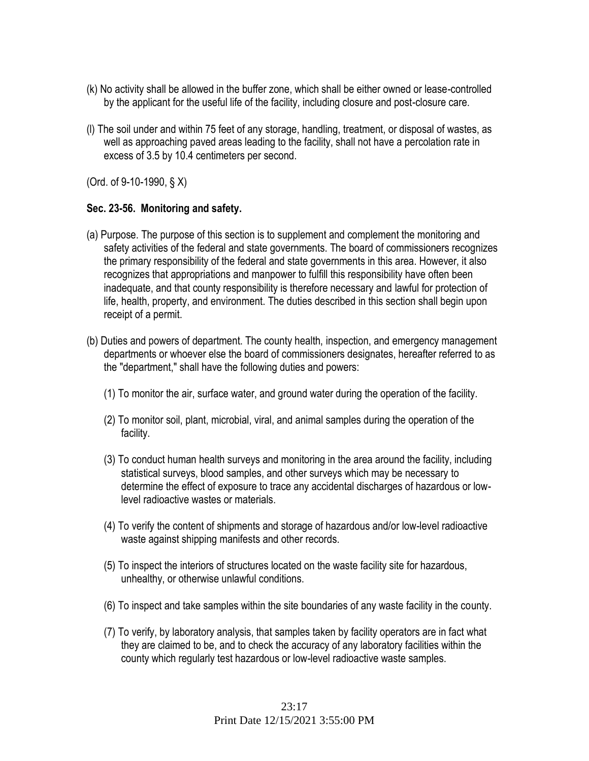- (k) No activity shall be allowed in the buffer zone, which shall be either owned or lease-controlled by the applicant for the useful life of the facility, including closure and post-closure care.
- (l) The soil under and within 75 feet of any storage, handling, treatment, or disposal of wastes, as well as approaching paved areas leading to the facility, shall not have a percolation rate in excess of 3.5 by 10.4 centimeters per second.

(Ord. of 9-10-1990, § X)

### **Sec. 23-56. Monitoring and safety.**

- (a) Purpose. The purpose of this section is to supplement and complement the monitoring and safety activities of the federal and state governments. The board of commissioners recognizes the primary responsibility of the federal and state governments in this area. However, it also recognizes that appropriations and manpower to fulfill this responsibility have often been inadequate, and that county responsibility is therefore necessary and lawful for protection of life, health, property, and environment. The duties described in this section shall begin upon receipt of a permit.
- (b) Duties and powers of department. The county health, inspection, and emergency management departments or whoever else the board of commissioners designates, hereafter referred to as the "department," shall have the following duties and powers:
	- (1) To monitor the air, surface water, and ground water during the operation of the facility.
	- (2) To monitor soil, plant, microbial, viral, and animal samples during the operation of the facility.
	- (3) To conduct human health surveys and monitoring in the area around the facility, including statistical surveys, blood samples, and other surveys which may be necessary to determine the effect of exposure to trace any accidental discharges of hazardous or lowlevel radioactive wastes or materials.
	- (4) To verify the content of shipments and storage of hazardous and/or low-level radioactive waste against shipping manifests and other records.
	- (5) To inspect the interiors of structures located on the waste facility site for hazardous, unhealthy, or otherwise unlawful conditions.
	- (6) To inspect and take samples within the site boundaries of any waste facility in the county.
	- (7) To verify, by laboratory analysis, that samples taken by facility operators are in fact what they are claimed to be, and to check the accuracy of any laboratory facilities within the county which regularly test hazardous or low-level radioactive waste samples.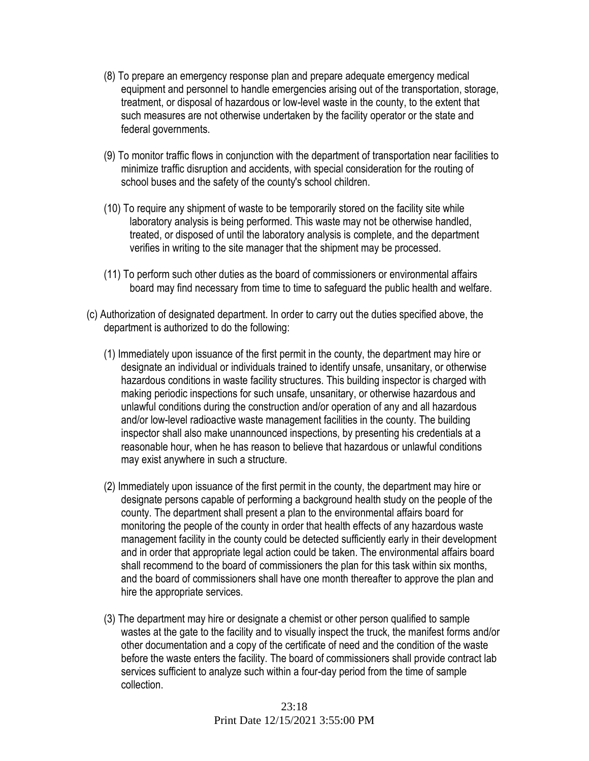- (8) To prepare an emergency response plan and prepare adequate emergency medical equipment and personnel to handle emergencies arising out of the transportation, storage, treatment, or disposal of hazardous or low-level waste in the county, to the extent that such measures are not otherwise undertaken by the facility operator or the state and federal governments.
- (9) To monitor traffic flows in conjunction with the department of transportation near facilities to minimize traffic disruption and accidents, with special consideration for the routing of school buses and the safety of the county's school children.
- (10) To require any shipment of waste to be temporarily stored on the facility site while laboratory analysis is being performed. This waste may not be otherwise handled, treated, or disposed of until the laboratory analysis is complete, and the department verifies in writing to the site manager that the shipment may be processed.
- (11) To perform such other duties as the board of commissioners or environmental affairs board may find necessary from time to time to safeguard the public health and welfare.
- (c) Authorization of designated department. In order to carry out the duties specified above, the department is authorized to do the following:
	- (1) Immediately upon issuance of the first permit in the county, the department may hire or designate an individual or individuals trained to identify unsafe, unsanitary, or otherwise hazardous conditions in waste facility structures. This building inspector is charged with making periodic inspections for such unsafe, unsanitary, or otherwise hazardous and unlawful conditions during the construction and/or operation of any and all hazardous and/or low-level radioactive waste management facilities in the county. The building inspector shall also make unannounced inspections, by presenting his credentials at a reasonable hour, when he has reason to believe that hazardous or unlawful conditions may exist anywhere in such a structure.
	- (2) Immediately upon issuance of the first permit in the county, the department may hire or designate persons capable of performing a background health study on the people of the county. The department shall present a plan to the environmental affairs board for monitoring the people of the county in order that health effects of any hazardous waste management facility in the county could be detected sufficiently early in their development and in order that appropriate legal action could be taken. The environmental affairs board shall recommend to the board of commissioners the plan for this task within six months, and the board of commissioners shall have one month thereafter to approve the plan and hire the appropriate services.
	- (3) The department may hire or designate a chemist or other person qualified to sample wastes at the gate to the facility and to visually inspect the truck, the manifest forms and/or other documentation and a copy of the certificate of need and the condition of the waste before the waste enters the facility. The board of commissioners shall provide contract lab services sufficient to analyze such within a four-day period from the time of sample collection.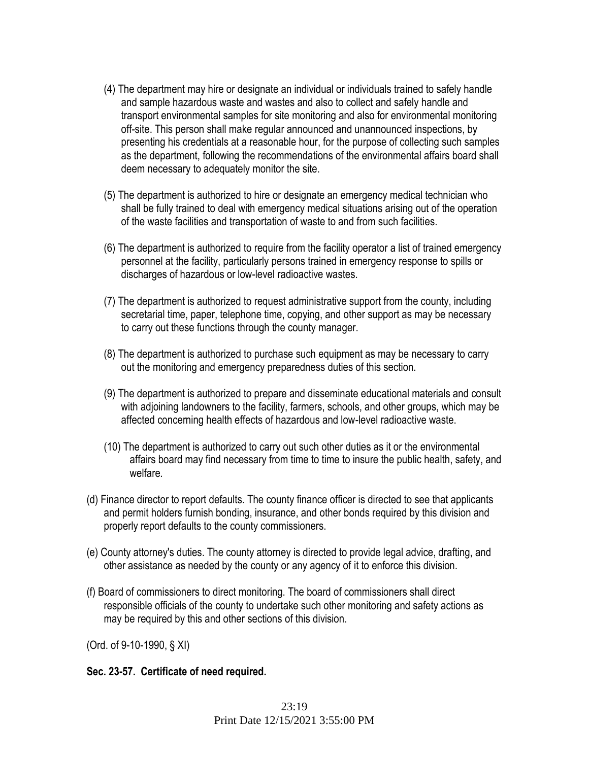- (4) The department may hire or designate an individual or individuals trained to safely handle and sample hazardous waste and wastes and also to collect and safely handle and transport environmental samples for site monitoring and also for environmental monitoring off-site. This person shall make regular announced and unannounced inspections, by presenting his credentials at a reasonable hour, for the purpose of collecting such samples as the department, following the recommendations of the environmental affairs board shall deem necessary to adequately monitor the site.
- (5) The department is authorized to hire or designate an emergency medical technician who shall be fully trained to deal with emergency medical situations arising out of the operation of the waste facilities and transportation of waste to and from such facilities.
- (6) The department is authorized to require from the facility operator a list of trained emergency personnel at the facility, particularly persons trained in emergency response to spills or discharges of hazardous or low-level radioactive wastes.
- (7) The department is authorized to request administrative support from the county, including secretarial time, paper, telephone time, copying, and other support as may be necessary to carry out these functions through the county manager.
- (8) The department is authorized to purchase such equipment as may be necessary to carry out the monitoring and emergency preparedness duties of this section.
- (9) The department is authorized to prepare and disseminate educational materials and consult with adjoining landowners to the facility, farmers, schools, and other groups, which may be affected concerning health effects of hazardous and low-level radioactive waste.
- (10) The department is authorized to carry out such other duties as it or the environmental affairs board may find necessary from time to time to insure the public health, safety, and welfare*.*
- (d) Finance director to report defaults. The county finance officer is directed to see that applicants and permit holders furnish bonding, insurance, and other bonds required by this division and properly report defaults to the county commissioners.
- (e) County attorney's duties. The county attorney is directed to provide legal advice, drafting, and other assistance as needed by the county or any agency of it to enforce this division.
- (f) Board of commissioners to direct monitoring. The board of commissioners shall direct responsible officials of the county to undertake such other monitoring and safety actions as may be required by this and other sections of this division.

(Ord. of 9-10-1990, § XI)

### **Sec. 23-57. Certificate of need required.**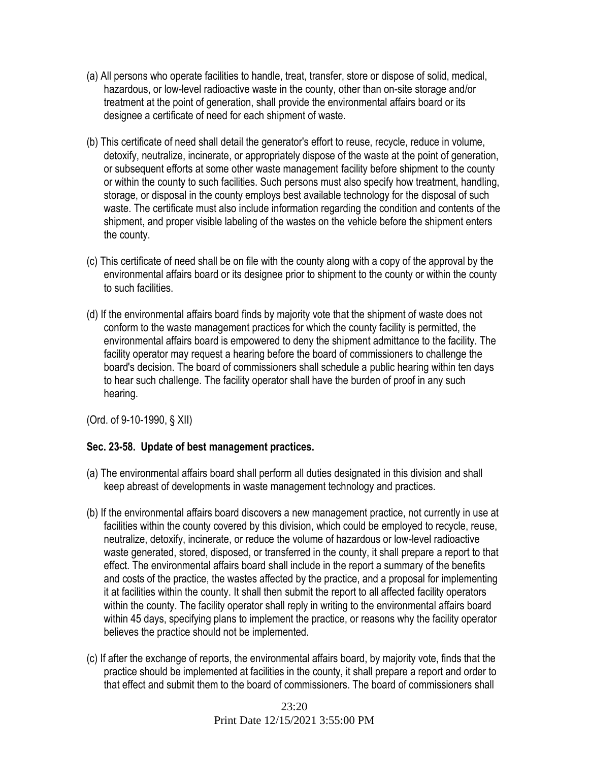- (a) All persons who operate facilities to handle, treat, transfer, store or dispose of solid, medical, hazardous, or low-level radioactive waste in the county, other than on-site storage and/or treatment at the point of generation, shall provide the environmental affairs board or its designee a certificate of need for each shipment of waste.
- (b) This certificate of need shall detail the generator's effort to reuse, recycle, reduce in volume, detoxify, neutralize, incinerate, or appropriately dispose of the waste at the point of generation, or subsequent efforts at some other waste management facility before shipment to the county or within the county to such facilities. Such persons must also specify how treatment, handling, storage, or disposal in the county employs best available technology for the disposal of such waste. The certificate must also include information regarding the condition and contents of the shipment, and proper visible labeling of the wastes on the vehicle before the shipment enters the county.
- (c) This certificate of need shall be on file with the county along with a copy of the approval by the environmental affairs board or its designee prior to shipment to the county or within the county to such facilities.
- (d) If the environmental affairs board finds by majority vote that the shipment of waste does not conform to the waste management practices for which the county facility is permitted, the environmental affairs board is empowered to deny the shipment admittance to the facility. The facility operator may request a hearing before the board of commissioners to challenge the board's decision. The board of commissioners shall schedule a public hearing within ten days to hear such challenge. The facility operator shall have the burden of proof in any such hearing.

(Ord. of 9-10-1990, § XII)

### **Sec. 23-58. Update of best management practices.**

- (a) The environmental affairs board shall perform all duties designated in this division and shall keep abreast of developments in waste management technology and practices.
- (b) If the environmental affairs board discovers a new management practice, not currently in use at facilities within the county covered by this division, which could be employed to recycle, reuse, neutralize, detoxify, incinerate, or reduce the volume of hazardous or low-level radioactive waste generated, stored, disposed, or transferred in the county, it shall prepare a report to that effect. The environmental affairs board shall include in the report a summary of the benefits and costs of the practice, the wastes affected by the practice, and a proposal for implementing it at facilities within the county. It shall then submit the report to all affected facility operators within the county. The facility operator shall reply in writing to the environmental affairs board within 45 days, specifying plans to implement the practice, or reasons why the facility operator believes the practice should not be implemented.
- (c) If after the exchange of reports, the environmental affairs board, by majority vote, finds that the practice should be implemented at facilities in the county, it shall prepare a report and order to that effect and submit them to the board of commissioners. The board of commissioners shall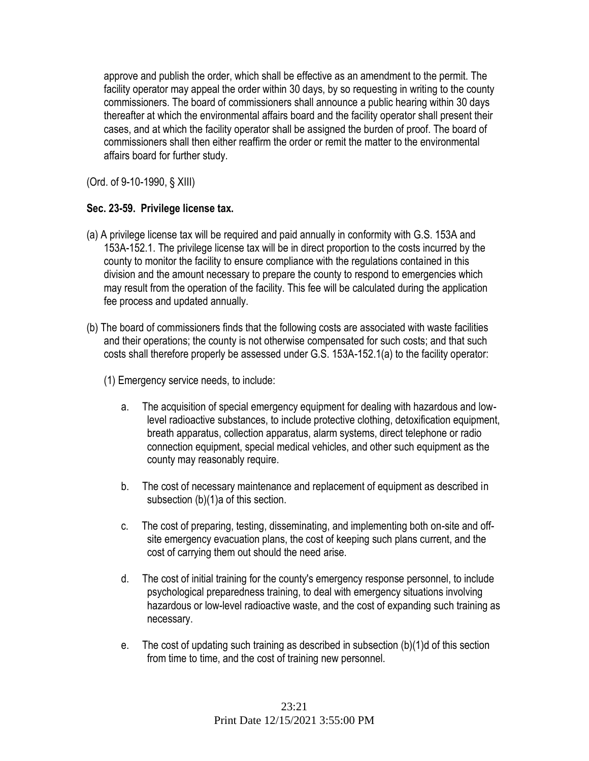approve and publish the order, which shall be effective as an amendment to the permit. The facility operator may appeal the order within 30 days, by so requesting in writing to the county commissioners. The board of commissioners shall announce a public hearing within 30 days thereafter at which the environmental affairs board and the facility operator shall present their cases, and at which the facility operator shall be assigned the burden of proof. The board of commissioners shall then either reaffirm the order or remit the matter to the environmental affairs board for further study.

(Ord. of 9-10-1990, § XIII)

## **Sec. 23-59. Privilege license tax.**

- (a) A privilege license tax will be required and paid annually in conformity with G.S. 153A and 153A-152.1. The privilege license tax will be in direct proportion to the costs incurred by the county to monitor the facility to ensure compliance with the regulations contained in this division and the amount necessary to prepare the county to respond to emergencies which may result from the operation of the facility. This fee will be calculated during the application fee process and updated annually.
- (b) The board of commissioners finds that the following costs are associated with waste facilities and their operations; the county is not otherwise compensated for such costs; and that such costs shall therefore properly be assessed under G.S. 153A-152.1(a) to the facility operator:
	- (1) Emergency service needs, to include:
		- a. The acquisition of special emergency equipment for dealing with hazardous and lowlevel radioactive substances, to include protective clothing, detoxification equipment, breath apparatus, collection apparatus, alarm systems, direct telephone or radio connection equipment, special medical vehicles, and other such equipment as the county may reasonably require.
		- b. The cost of necessary maintenance and replacement of equipment as described in subsection (b)(1)a of this section.
		- c. The cost of preparing, testing, disseminating, and implementing both on-site and offsite emergency evacuation plans, the cost of keeping such plans current, and the cost of carrying them out should the need arise.
		- d. The cost of initial training for the county's emergency response personnel, to include psychological preparedness training, to deal with emergency situations involving hazardous or low-level radioactive waste, and the cost of expanding such training as necessary.
		- e. The cost of updating such training as described in subsection (b)(1)d of this section from time to time, and the cost of training new personnel.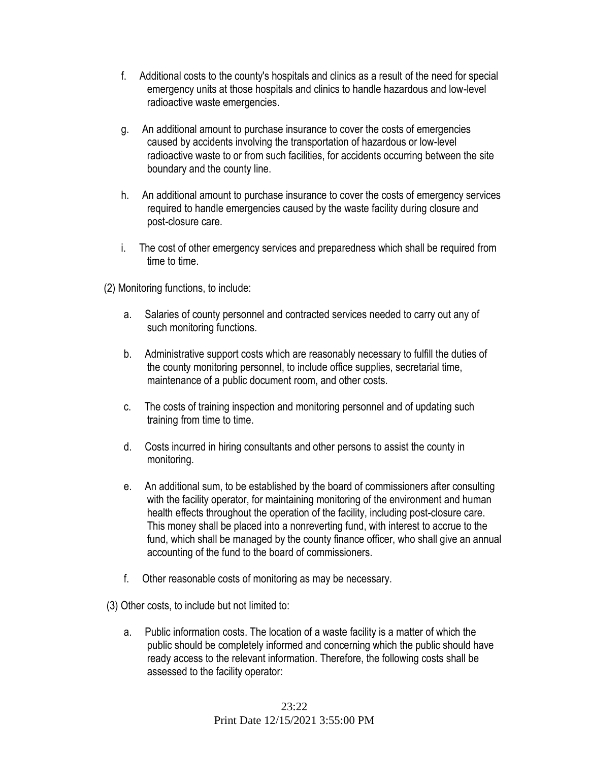- f. Additional costs to the county's hospitals and clinics as a result of the need for special emergency units at those hospitals and clinics to handle hazardous and low-level radioactive waste emergencies.
- g. An additional amount to purchase insurance to cover the costs of emergencies caused by accidents involving the transportation of hazardous or low-level radioactive waste to or from such facilities, for accidents occurring between the site boundary and the county line.
- h. An additional amount to purchase insurance to cover the costs of emergency services required to handle emergencies caused by the waste facility during closure and post-closure care.
- i. The cost of other emergency services and preparedness which shall be required from time to time.

(2) Monitoring functions, to include:

- a. Salaries of county personnel and contracted services needed to carry out any of such monitoring functions.
- b. Administrative support costs which are reasonably necessary to fulfill the duties of the county monitoring personnel, to include office supplies, secretarial time, maintenance of a public document room, and other costs.
- c. The costs of training inspection and monitoring personnel and of updating such training from time to time.
- d. Costs incurred in hiring consultants and other persons to assist the county in monitoring.
- e. An additional sum, to be established by the board of commissioners after consulting with the facility operator, for maintaining monitoring of the environment and human health effects throughout the operation of the facility, including post-closure care. This money shall be placed into a nonreverting fund, with interest to accrue to the fund, which shall be managed by the county finance officer, who shall give an annual accounting of the fund to the board of commissioners.
- f. Other reasonable costs of monitoring as may be necessary.

(3) Other costs, to include but not limited to:

a. Public information costs. The location of a waste facility is a matter of which the public should be completely informed and concerning which the public should have ready access to the relevant information. Therefore, the following costs shall be assessed to the facility operator: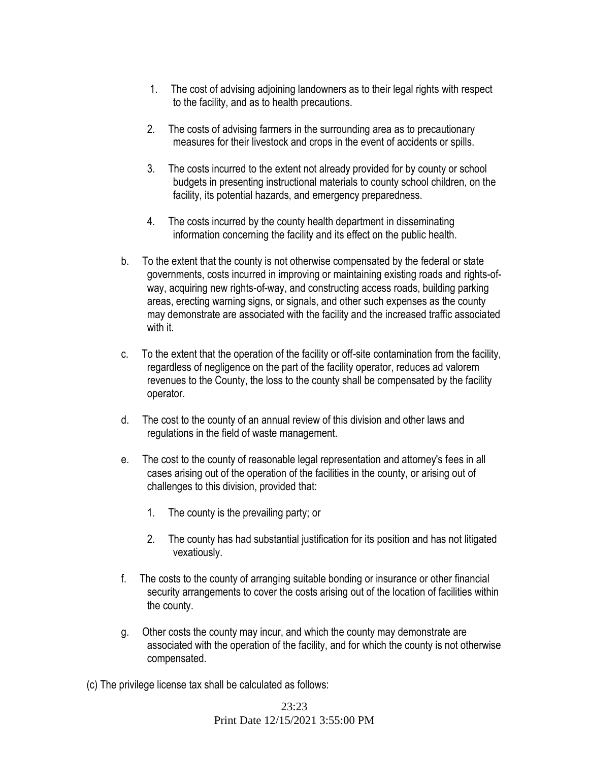- 1. The cost of advising adjoining landowners as to their legal rights with respect to the facility, and as to health precautions.
- 2. The costs of advising farmers in the surrounding area as to precautionary measures for their livestock and crops in the event of accidents or spills.
- 3. The costs incurred to the extent not already provided for by county or school budgets in presenting instructional materials to county school children, on the facility, its potential hazards, and emergency preparedness.
- 4. The costs incurred by the county health department in disseminating information concerning the facility and its effect on the public health.
- b. To the extent that the county is not otherwise compensated by the federal or state governments, costs incurred in improving or maintaining existing roads and rights-ofway, acquiring new rights-of-way, and constructing access roads, building parking areas, erecting warning signs, or signals, and other such expenses as the county may demonstrate are associated with the facility and the increased traffic associated with it
- c. To the extent that the operation of the facility or off-site contamination from the facility, regardless of negligence on the part of the facility operator, reduces ad valorem revenues to the County, the loss to the county shall be compensated by the facility operator.
- d. The cost to the county of an annual review of this division and other laws and regulations in the field of waste management.
- e. The cost to the county of reasonable legal representation and attorney's fees in all cases arising out of the operation of the facilities in the county, or arising out of challenges to this division, provided that:
	- 1. The county is the prevailing party; or
	- 2. The county has had substantial justification for its position and has not litigated vexatiously.
- f. The costs to the county of arranging suitable bonding or insurance or other financial security arrangements to cover the costs arising out of the location of facilities within the county.
- g. Other costs the county may incur, and which the county may demonstrate are associated with the operation of the facility, and for which the county is not otherwise compensated.
- (c) The privilege license tax shall be calculated as follows: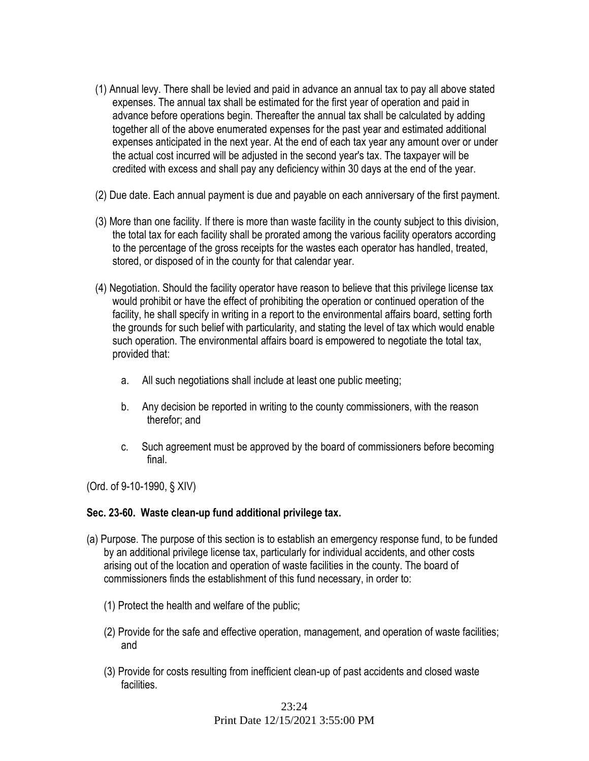- (1) Annual levy. There shall be levied and paid in advance an annual tax to pay all above stated expenses. The annual tax shall be estimated for the first year of operation and paid in advance before operations begin. Thereafter the annual tax shall be calculated by adding together all of the above enumerated expenses for the past year and estimated additional expenses anticipated in the next year. At the end of each tax year any amount over or under the actual cost incurred will be adjusted in the second year's tax. The taxpayer will be credited with excess and shall pay any deficiency within 30 days at the end of the year.
- (2) Due date. Each annual payment is due and payable on each anniversary of the first payment.
- (3) More than one facility. If there is more than waste facility in the county subject to this division, the total tax for each facility shall be prorated among the various facility operators according to the percentage of the gross receipts for the wastes each operator has handled, treated, stored, or disposed of in the county for that calendar year.
- (4) Negotiation. Should the facility operator have reason to believe that this privilege license tax would prohibit or have the effect of prohibiting the operation or continued operation of the facility, he shall specify in writing in a report to the environmental affairs board, setting forth the grounds for such belief with particularity, and stating the level of tax which would enable such operation. The environmental affairs board is empowered to negotiate the total tax, provided that:
	- a. All such negotiations shall include at least one public meeting;
	- b. Any decision be reported in writing to the county commissioners, with the reason therefor; and
	- c. Such agreement must be approved by the board of commissioners before becoming final.

(Ord. of 9-10-1990, § XIV)

### **Sec. 23-60. Waste clean-up fund additional privilege tax.**

- (a) Purpose. The purpose of this section is to establish an emergency response fund, to be funded by an additional privilege license tax, particularly for individual accidents, and other costs arising out of the location and operation of waste facilities in the county. The board of commissioners finds the establishment of this fund necessary, in order to:
	- (1) Protect the health and welfare of the public;
	- (2) Provide for the safe and effective operation, management, and operation of waste facilities; and
	- (3) Provide for costs resulting from inefficient clean-up of past accidents and closed waste facilities.

#### 23:24 Print Date 12/15/2021 3:55:00 PM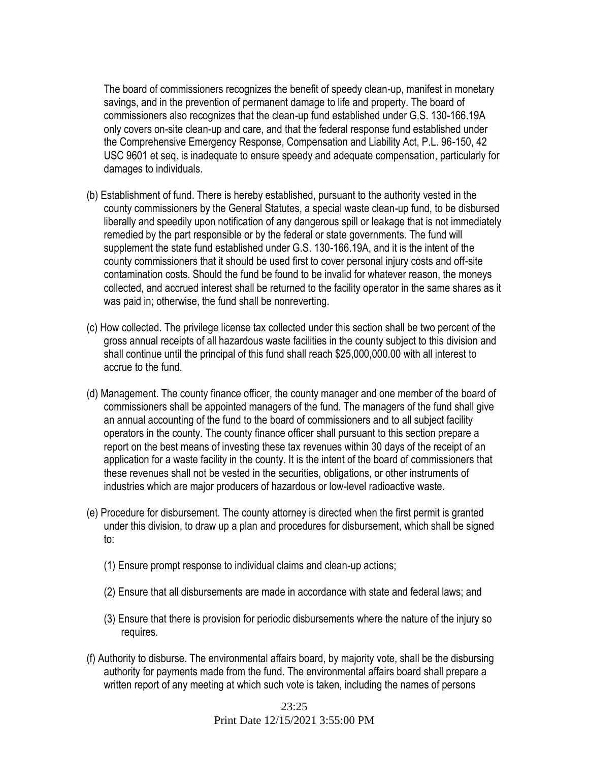The board of commissioners recognizes the benefit of speedy clean-up, manifest in monetary savings, and in the prevention of permanent damage to life and property. The board of commissioners also recognizes that the clean-up fund established under G.S. 130-166.19A only covers on-site clean-up and care, and that the federal response fund established under the Comprehensive Emergency Response, Compensation and Liability Act, P.L. 96-150, 42 USC 9601 et seq. is inadequate to ensure speedy and adequate compensation, particularly for damages to individuals.

- (b) Establishment of fund. There is hereby established, pursuant to the authority vested in the county commissioners by the General Statutes, a special waste clean-up fund, to be disbursed liberally and speedily upon notification of any dangerous spill or leakage that is not immediately remedied by the part responsible or by the federal or state governments. The fund will supplement the state fund established under G.S. 130-166.19A, and it is the intent of the county commissioners that it should be used first to cover personal injury costs and off-site contamination costs. Should the fund be found to be invalid for whatever reason, the moneys collected, and accrued interest shall be returned to the facility operator in the same shares as it was paid in; otherwise, the fund shall be nonreverting.
- (c) How collected. The privilege license tax collected under this section shall be two percent of the gross annual receipts of all hazardous waste facilities in the county subject to this division and shall continue until the principal of this fund shall reach \$25,000,000.00 with all interest to accrue to the fund.
- (d) Management. The county finance officer, the county manager and one member of the board of commissioners shall be appointed managers of the fund. The managers of the fund shall give an annual accounting of the fund to the board of commissioners and to all subject facility operators in the county. The county finance officer shall pursuant to this section prepare a report on the best means of investing these tax revenues within 30 days of the receipt of an application for a waste facility in the county. It is the intent of the board of commissioners that these revenues shall not be vested in the securities, obligations, or other instruments of industries which are major producers of hazardous or low-level radioactive waste.
- (e) Procedure for disbursement. The county attorney is directed when the first permit is granted under this division, to draw up a plan and procedures for disbursement, which shall be signed to:
	- (1) Ensure prompt response to individual claims and clean-up actions;
	- (2) Ensure that all disbursements are made in accordance with state and federal laws; and
	- (3) Ensure that there is provision for periodic disbursements where the nature of the injury so requires.
- (f) Authority to disburse. The environmental affairs board, by majority vote, shall be the disbursing authority for payments made from the fund. The environmental affairs board shall prepare a written report of any meeting at which such vote is taken, including the names of persons

23:25 Print Date 12/15/2021 3:55:00 PM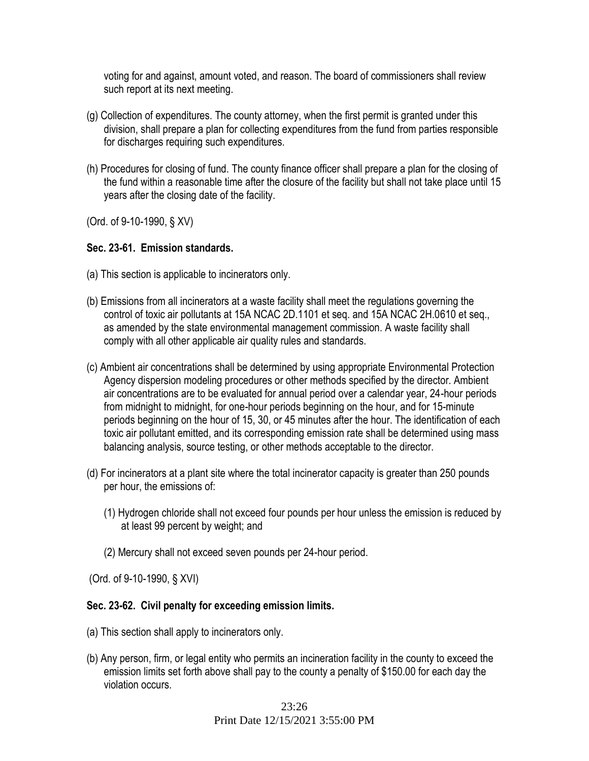voting for and against, amount voted, and reason. The board of commissioners shall review such report at its next meeting.

- (g) Collection of expenditures. The county attorney, when the first permit is granted under this division, shall prepare a plan for collecting expenditures from the fund from parties responsible for discharges requiring such expenditures.
- (h) Procedures for closing of fund. The county finance officer shall prepare a plan for the closing of the fund within a reasonable time after the closure of the facility but shall not take place until 15 years after the closing date of the facility.

(Ord. of 9-10-1990, § XV)

#### **Sec. 23-61. Emission standards.**

- (a) This section is applicable to incinerators only.
- (b) Emissions from all incinerators at a waste facility shall meet the regulations governing the control of toxic air pollutants at 15A NCAC 2D.1101 et seq. and 15A NCAC 2H.0610 et seq., as amended by the state environmental management commission. A waste facility shall comply with all other applicable air quality rules and standards.
- (c) Ambient air concentrations shall be determined by using appropriate Environmental Protection Agency dispersion modeling procedures or other methods specified by the director. Ambient air concentrations are to be evaluated for annual period over a calendar year, 24-hour periods from midnight to midnight, for one-hour periods beginning on the hour, and for 15-minute periods beginning on the hour of 15, 30, or 45 minutes after the hour. The identification of each toxic air pollutant emitted, and its corresponding emission rate shall be determined using mass balancing analysis, source testing, or other methods acceptable to the director.
- (d) For incinerators at a plant site where the total incinerator capacity is greater than 250 pounds per hour, the emissions of:
	- (1) Hydrogen chloride shall not exceed four pounds per hour unless the emission is reduced by at least 99 percent by weight; and
	- (2) Mercury shall not exceed seven pounds per 24-hour period.

(Ord. of 9-10-1990, § XVI)

#### **Sec. 23-62. Civil penalty for exceeding emission limits.**

- (a) This section shall apply to incinerators only.
- (b) Any person, firm, or legal entity who permits an incineration facility in the county to exceed the emission limits set forth above shall pay to the county a penalty of \$150.00 for each day the violation occurs.

23:26 Print Date 12/15/2021 3:55:00 PM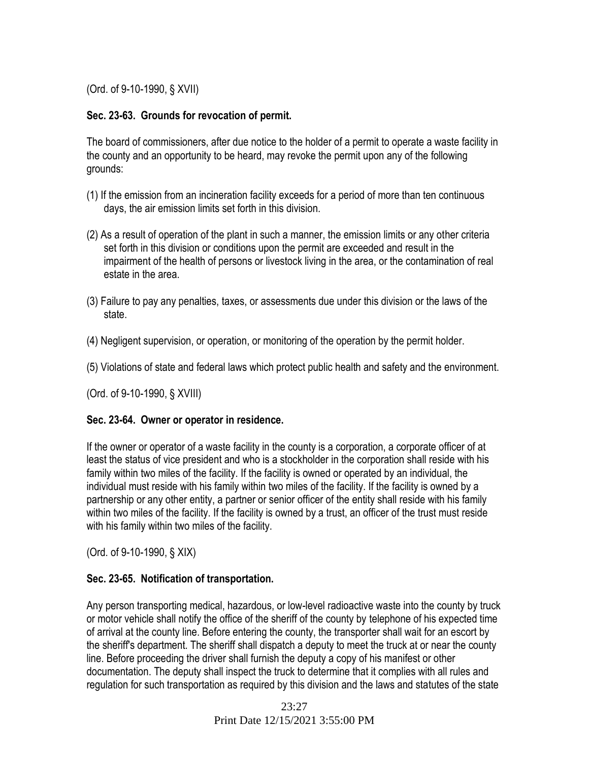(Ord. of 9-10-1990, § XVII)

## **Sec. 23-63. Grounds for revocation of permit.**

The board of commissioners, after due notice to the holder of a permit to operate a waste facility in the county and an opportunity to be heard, may revoke the permit upon any of the following grounds:

- (1) If the emission from an incineration facility exceeds for a period of more than ten continuous days, the air emission limits set forth in this division.
- (2) As a result of operation of the plant in such a manner, the emission limits or any other criteria set forth in this division or conditions upon the permit are exceeded and result in the impairment of the health of persons or livestock living in the area, or the contamination of real estate in the area.
- (3) Failure to pay any penalties, taxes, or assessments due under this division or the laws of the state.
- (4) Negligent supervision, or operation, or monitoring of the operation by the permit holder.
- (5) Violations of state and federal laws which protect public health and safety and the environment.

(Ord. of 9-10-1990, § XVIII)

### **Sec. 23-64. Owner or operator in residence.**

If the owner or operator of a waste facility in the county is a corporation, a corporate officer of at least the status of vice president and who is a stockholder in the corporation shall reside with his family within two miles of the facility. If the facility is owned or operated by an individual, the individual must reside with his family within two miles of the facility. If the facility is owned by a partnership or any other entity, a partner or senior officer of the entity shall reside with his family within two miles of the facility. If the facility is owned by a trust, an officer of the trust must reside with his family within two miles of the facility.

(Ord. of 9-10-1990, § XIX)

### **Sec. 23-65. Notification of transportation.**

Any person transporting medical, hazardous, or low-level radioactive waste into the county by truck or motor vehicle shall notify the office of the sheriff of the county by telephone of his expected time of arrival at the county line. Before entering the county, the transporter shall wait for an escort by the sheriff's department. The sheriff shall dispatch a deputy to meet the truck at or near the county line. Before proceeding the driver shall furnish the deputy a copy of his manifest or other documentation. The deputy shall inspect the truck to determine that it complies with all rules and regulation for such transportation as required by this division and the laws and statutes of the state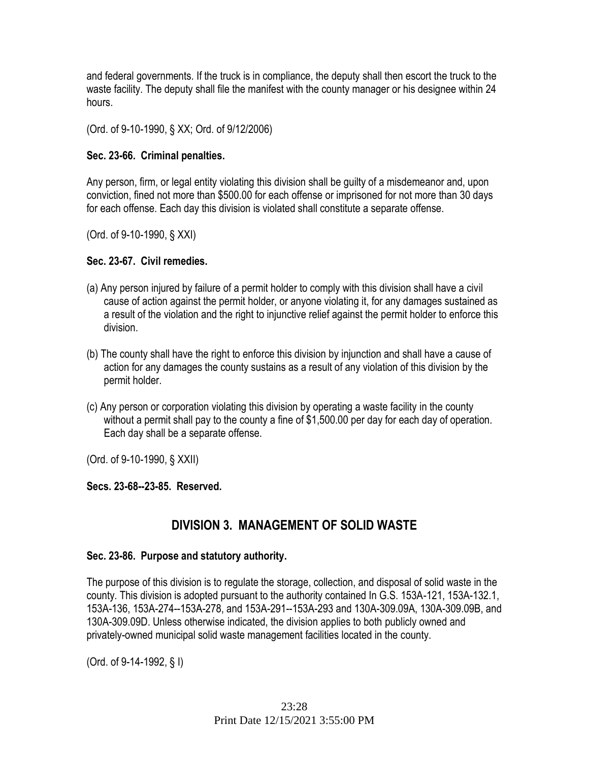and federal governments. If the truck is in compliance, the deputy shall then escort the truck to the waste facility. The deputy shall file the manifest with the county manager or his designee within 24 hours.

(Ord. of 9-10-1990, § XX; Ord. of 9/12/2006)

## **Sec. 23-66. Criminal penalties.**

Any person, firm, or legal entity violating this division shall be guilty of a misdemeanor and, upon conviction, fined not more than \$500.00 for each offense or imprisoned for not more than 30 days for each offense. Each day this division is violated shall constitute a separate offense.

(Ord. of 9-10-1990, § XXI)

## **Sec. 23-67. Civil remedies.**

- (a) Any person injured by failure of a permit holder to comply with this division shall have a civil cause of action against the permit holder, or anyone violating it, for any damages sustained as a result of the violation and the right to injunctive relief against the permit holder to enforce this division.
- (b) The county shall have the right to enforce this division by injunction and shall have a cause of action for any damages the county sustains as a result of any violation of this division by the permit holder.
- (c) Any person or corporation violating this division by operating a waste facility in the county without a permit shall pay to the county a fine of \$1,500.00 per day for each day of operation. Each day shall be a separate offense.

(Ord. of 9-10-1990, § XXII)

## **Secs. 23-68--23-85. Reserved.**

# **DIVISION 3. MANAGEMENT OF SOLID WASTE**

## **Sec. 23-86. Purpose and statutory authority.**

The purpose of this division is to regulate the storage, collection, and disposal of solid waste in the county. This division is adopted pursuant to the authority contained In G.S. 153A-121, 153A-132.1, 153A-136, 153A-274--153A-278, and 153A-291--153A-293 and 130A-309.09A, 130A-309.09B, and 130A-309.09D. Unless otherwise indicated, the division applies to both publicly owned and privately-owned municipal solid waste management facilities located in the county.

(Ord. of 9-14-1992, § I)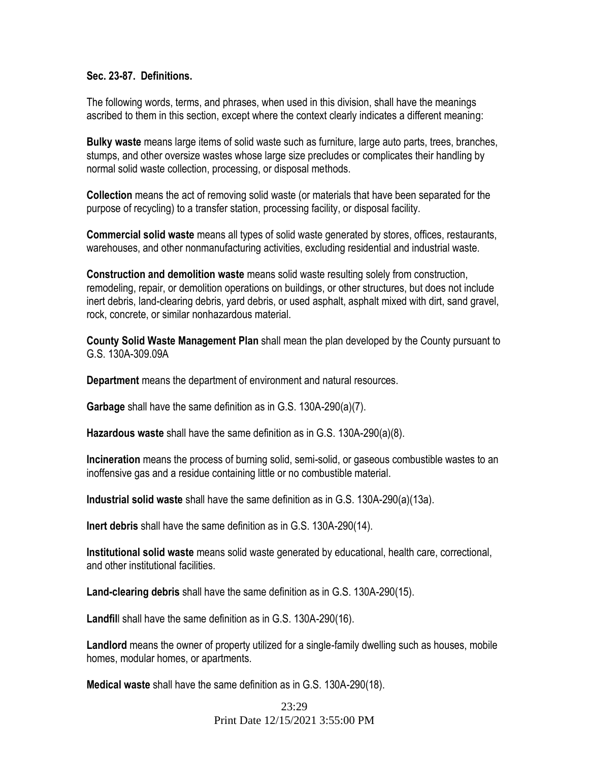#### **Sec. 23-87. Definitions.**

The following words, terms, and phrases, when used in this division, shall have the meanings ascribed to them in this section, except where the context clearly indicates a different meaning:

**Bulky waste** means large items of solid waste such as furniture, large auto parts, trees, branches, stumps, and other oversize wastes whose large size precludes or complicates their handling by normal solid waste collection, processing, or disposal methods.

**Collection** means the act of removing solid waste (or materials that have been separated for the purpose of recycling) to a transfer station, processing facility, or disposal facility.

**Commercial solid waste** means all types of solid waste generated by stores, offices, restaurants, warehouses, and other nonmanufacturing activities, excluding residential and industrial waste.

**Construction and demolition waste** means solid waste resulting solely from construction, remodeling, repair, or demolition operations on buildings, or other structures, but does not include inert debris, land-clearing debris, yard debris, or used asphalt, asphalt mixed with dirt, sand gravel, rock, concrete, or similar nonhazardous material.

**County Solid Waste Management Plan** shall mean the plan developed by the County pursuant to G.S. 130A-309.09A

**Department** means the department of environment and natural resources.

**Garbage** shall have the same definition as in G.S. 130A-290(a)(7).

**Hazardous waste** shall have the same definition as in G.S. 130A-290(a)(8).

**Incineration** means the process of burning solid, semi-solid, or gaseous combustible wastes to an inoffensive gas and a residue containing little or no combustible material.

**Industrial solid waste** shall have the same definition as in G.S. 130A-290(a)(13a).

**Inert debris** shall have the same definition as in G.S. 130A-290(14).

**Institutional solid waste** means solid waste generated by educational, health care, correctional, and other institutional facilities.

**Land-clearing debris** shall have the same definition as in G.S. 130A-290(15).

**Landfil**l shall have the same definition as in G.S. 130A-290(16).

**Landlord** means the owner of property utilized for a single-family dwelling such as houses, mobile homes, modular homes, or apartments.

**Medical waste** shall have the same definition as in G.S. 130A-290(18).

23:29 Print Date 12/15/2021 3:55:00 PM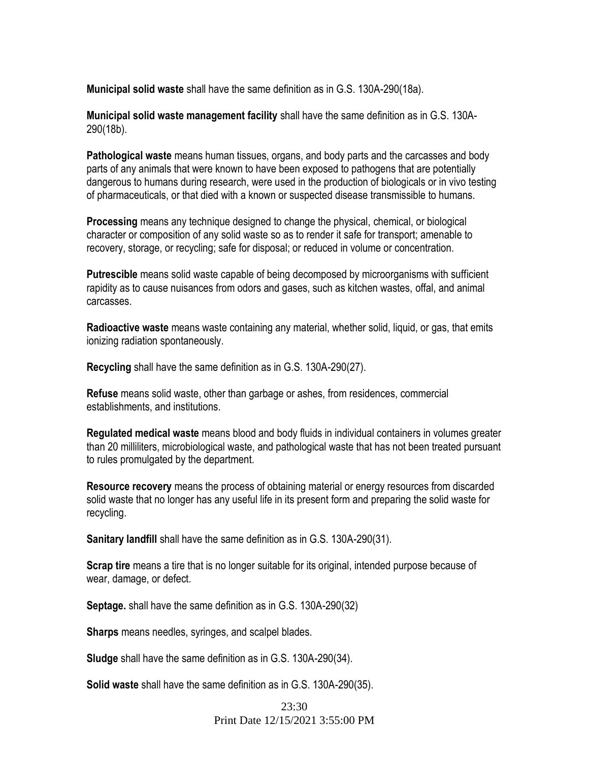**Municipal solid waste** shall have the same definition as in G.S. 130A-290(18a).

**Municipal solid waste management facility** shall have the same definition as in G.S. 130A-290(18b).

**Pathological waste** means human tissues, organs, and body parts and the carcasses and body parts of any animals that were known to have been exposed to pathogens that are potentially dangerous to humans during research, were used in the production of biologicals or in vivo testing of pharmaceuticals, or that died with a known or suspected disease transmissible to humans.

**Processing** means any technique designed to change the physical, chemical, or biological character or composition of any solid waste so as to render it safe for transport; amenable to recovery, storage, or recycling; safe for disposal; or reduced in volume or concentration.

**Putrescible** means solid waste capable of being decomposed by microorganisms with sufficient rapidity as to cause nuisances from odors and gases, such as kitchen wastes, offal, and animal carcasses.

**Radioactive waste** means waste containing any material, whether solid, liquid, or gas, that emits ionizing radiation spontaneously.

**Recycling** shall have the same definition as in G.S. 130A-290(27).

**Refuse** means solid waste, other than garbage or ashes, from residences, commercial establishments, and institutions.

**Regulated medical waste** means blood and body fluids in individual containers in volumes greater than 20 milliliters, microbiological waste, and pathological waste that has not been treated pursuant to rules promulgated by the department.

**Resource recovery** means the process of obtaining material or energy resources from discarded solid waste that no longer has any useful life in its present form and preparing the solid waste for recycling.

**Sanitary landfill** shall have the same definition as in G.S. 130A-290(31).

**Scrap tire** means a tire that is no longer suitable for its original, intended purpose because of wear, damage, or defect.

**Septage.** shall have the same definition as in G.S. 130A-290(32)

**Sharps** means needles, syringes, and scalpel blades.

**Sludge** shall have the same definition as in G.S. 130A-290(34).

**Solid waste** shall have the same definition as in G.S. 130A-290(35).

23:30 Print Date 12/15/2021 3:55:00 PM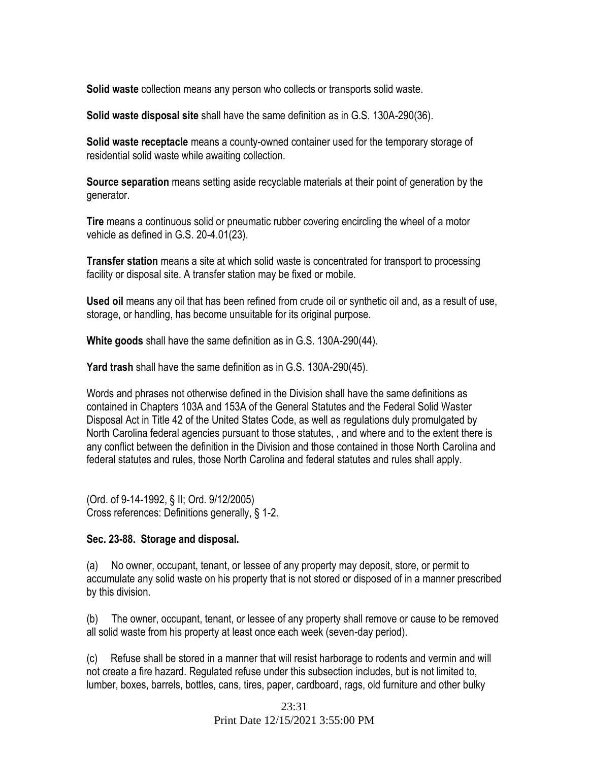**Solid waste** collection means any person who collects or transports solid waste.

**Solid waste disposal site** shall have the same definition as in G.S. 130A-290(36).

**Solid waste receptacle** means a county-owned container used for the temporary storage of residential solid waste while awaiting collection.

**Source separation** means setting aside recyclable materials at their point of generation by the generator.

**Tire** means a continuous solid or pneumatic rubber covering encircling the wheel of a motor vehicle as defined in G.S. 20-4.01(23).

**Transfer station** means a site at which solid waste is concentrated for transport to processing facility or disposal site. A transfer station may be fixed or mobile.

**Used oil** means any oil that has been refined from crude oil or synthetic oil and, as a result of use, storage, or handling, has become unsuitable for its original purpose.

**White goods** shall have the same definition as in G.S. 130A-290(44).

**Yard trash** shall have the same definition as in G.S. 130A-290(45).

Words and phrases not otherwise defined in the Division shall have the same definitions as contained in Chapters 103A and 153A of the General Statutes and the Federal Solid Waster Disposal Act in Title 42 of the United States Code, as well as regulations duly promulgated by North Carolina federal agencies pursuant to those statutes, , and where and to the extent there is any conflict between the definition in the Division and those contained in those North Carolina and federal statutes and rules, those North Carolina and federal statutes and rules shall apply.

(Ord. of 9-14-1992, § II; Ord. 9/12/2005) Cross references: Definitions generally, § 1-2.

### **Sec. 23-88. Storage and disposal.**

(a) No owner, occupant, tenant, or lessee of any property may deposit, store, or permit to accumulate any solid waste on his property that is not stored or disposed of in a manner prescribed by this division.

(b) The owner, occupant, tenant, or lessee of any property shall remove or cause to be removed all solid waste from his property at least once each week (seven-day period).

(c) Refuse shall be stored in a manner that will resist harborage to rodents and vermin and will not create a fire hazard. Regulated refuse under this subsection includes, but is not limited to, lumber, boxes, barrels, bottles, cans, tires, paper, cardboard, rags, old furniture and other bulky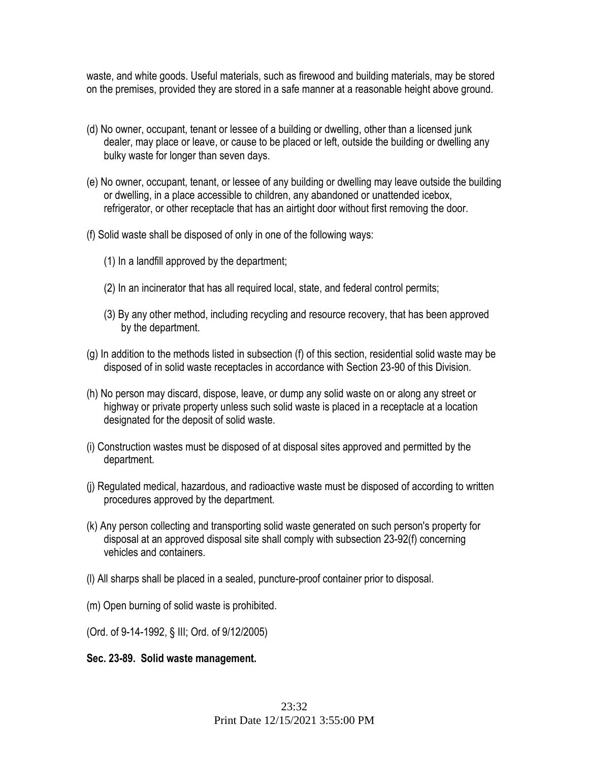waste, and white goods. Useful materials, such as firewood and building materials, may be stored on the premises, provided they are stored in a safe manner at a reasonable height above ground.

- (d) No owner, occupant, tenant or lessee of a building or dwelling, other than a licensed junk dealer, may place or leave, or cause to be placed or left, outside the building or dwelling any bulky waste for longer than seven days.
- (e) No owner, occupant, tenant, or lessee of any building or dwelling may leave outside the building or dwelling, in a place accessible to children, any abandoned or unattended icebox, refrigerator, or other receptacle that has an airtight door without first removing the door.
- (f) Solid waste shall be disposed of only in one of the following ways:
	- (1) In a landfill approved by the department;
	- (2) In an incinerator that has all required local, state, and federal control permits;
	- (3) By any other method, including recycling and resource recovery, that has been approved by the department.
- (g) In addition to the methods listed in subsection (f) of this section, residential solid waste may be disposed of in solid waste receptacles in accordance with Section 23-90 of this Division.
- (h) No person may discard, dispose, leave, or dump any solid waste on or along any street or highway or private property unless such solid waste is placed in a receptacle at a location designated for the deposit of solid waste.
- (i) Construction wastes must be disposed of at disposal sites approved and permitted by the department.
- (j) Regulated medical, hazardous, and radioactive waste must be disposed of according to written procedures approved by the department.
- (k) Any person collecting and transporting solid waste generated on such person's property for disposal at an approved disposal site shall comply with subsection 23-92(f) concerning vehicles and containers.
- (l) All sharps shall be placed in a sealed, puncture-proof container prior to disposal.
- (m) Open burning of solid waste is prohibited.
- (Ord. of 9-14-1992, § III; Ord. of 9/12/2005)
- **Sec. 23-89. Solid waste management.**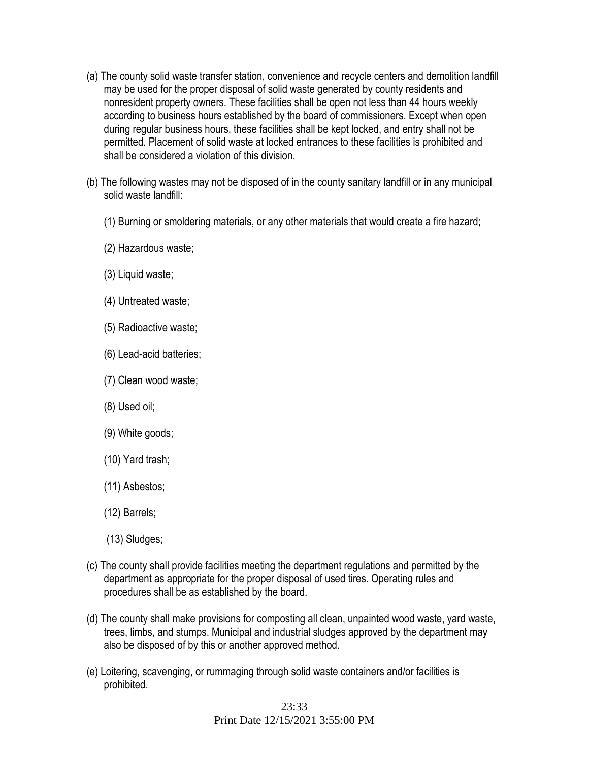- (a) The county solid waste transfer station, convenience and recycle centers and demolition landfill may be used for the proper disposal of solid waste generated by county residents and nonresident property owners. These facilities shall be open not less than 44 hours weekly according to business hours established by the board of commissioners. Except when open during regular business hours, these facilities shall be kept locked, and entry shall not be permitted. Placement of solid waste at locked entrances to these facilities is prohibited and shall be considered a violation of this division.
- (b) The following wastes may not be disposed of in the county sanitary landfill or in any municipal solid waste landfill:
	- (1) Burning or smoldering materials, or any other materials that would create a fire hazard;
	- (2) Hazardous waste;
	- (3) Liquid waste;
	- (4) Untreated waste;
	- (5) Radioactive waste;
	- (6) Lead-acid batteries;
	- (7) Clean wood waste;
	- (8) Used oil;
	- (9) White goods;
	- (10) Yard trash;
	- (11) Asbestos;
	- (12) Barrels;
	- (13) Sludges;
- (c) The county shall provide facilities meeting the department regulations and permitted by the department as appropriate for the proper disposal of used tires. Operating rules and procedures shall be as established by the board.
- (d) The county shall make provisions for composting all clean, unpainted wood waste, yard waste, trees, limbs, and stumps. Municipal and industrial sludges approved by the department may also be disposed of by this or another approved method.
- (e) Loitering, scavenging, or rummaging through solid waste containers and/or facilities is prohibited.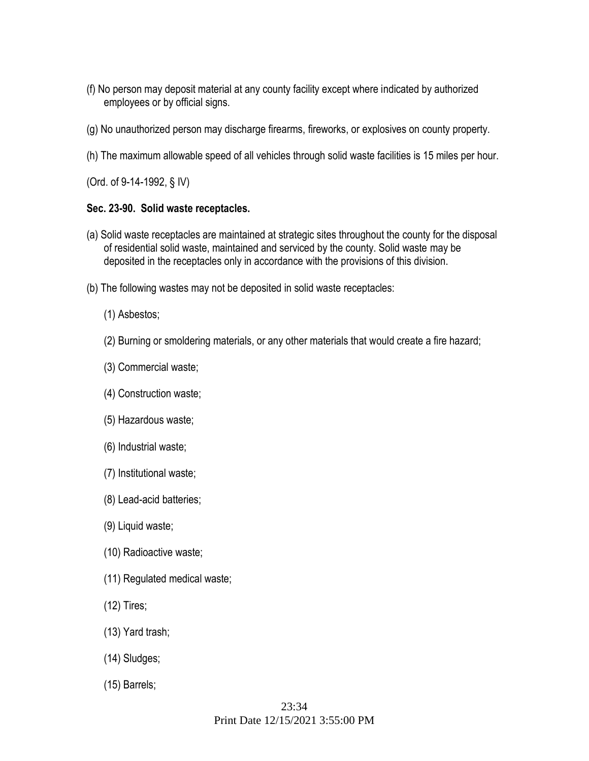- (f) No person may deposit material at any county facility except where indicated by authorized employees or by official signs.
- (g) No unauthorized person may discharge firearms, fireworks, or explosives on county property.
- (h) The maximum allowable speed of all vehicles through solid waste facilities is 15 miles per hour.

(Ord. of 9-14-1992, § IV)

### **Sec. 23-90. Solid waste receptacles.**

- (a) Solid waste receptacles are maintained at strategic sites throughout the county for the disposal of residential solid waste, maintained and serviced by the county. Solid waste may be deposited in the receptacles only in accordance with the provisions of this division.
- (b) The following wastes may not be deposited in solid waste receptacles:
	- (1) Asbestos;
	- (2) Burning or smoldering materials, or any other materials that would create a fire hazard;
	- (3) Commercial waste;
	- (4) Construction waste;
	- (5) Hazardous waste;
	- (6) Industrial waste;
	- (7) Institutional waste;
	- (8) Lead-acid batteries;
	- (9) Liquid waste;
	- (10) Radioactive waste;
	- (11) Regulated medical waste;
	- (12) Tires;
	- (13) Yard trash;
	- (14) Sludges;
	- (15) Barrels;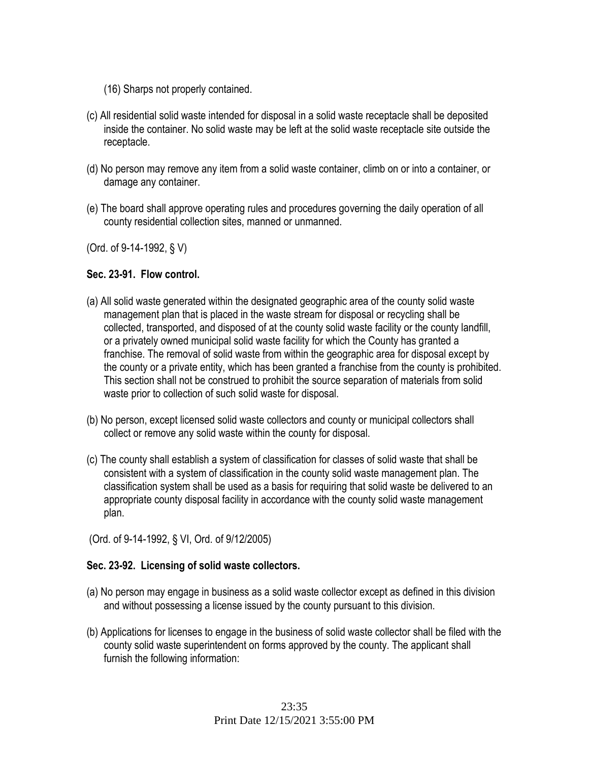- (16) Sharps not properly contained.
- (c) All residential solid waste intended for disposal in a solid waste receptacle shall be deposited inside the container. No solid waste may be left at the solid waste receptacle site outside the receptacle.
- (d) No person may remove any item from a solid waste container, climb on or into a container, or damage any container.
- (e) The board shall approve operating rules and procedures governing the daily operation of all county residential collection sites, manned or unmanned.

(Ord. of 9-14-1992, § V)

### **Sec. 23-91. Flow control.**

- (a) All solid waste generated within the designated geographic area of the county solid waste management plan that is placed in the waste stream for disposal or recycling shall be collected, transported, and disposed of at the county solid waste facility or the county landfill, or a privately owned municipal solid waste facility for which the County has granted a franchise. The removal of solid waste from within the geographic area for disposal except by the county or a private entity, which has been granted a franchise from the county is prohibited. This section shall not be construed to prohibit the source separation of materials from solid waste prior to collection of such solid waste for disposal.
- (b) No person, except licensed solid waste collectors and county or municipal collectors shall collect or remove any solid waste within the county for disposal.
- (c) The county shall establish a system of classification for classes of solid waste that shall be consistent with a system of classification in the county solid waste management plan. The classification system shall be used as a basis for requiring that solid waste be delivered to an appropriate county disposal facility in accordance with the county solid waste management plan.

(Ord. of 9-14-1992, § VI, Ord. of 9/12/2005)

### **Sec. 23-92. Licensing of solid waste collectors.**

- (a) No person may engage in business as a solid waste collector except as defined in this division and without possessing a license issued by the county pursuant to this division.
- (b) Applications for licenses to engage in the business of solid waste collector shall be filed with the county solid waste superintendent on forms approved by the county. The applicant shall furnish the following information: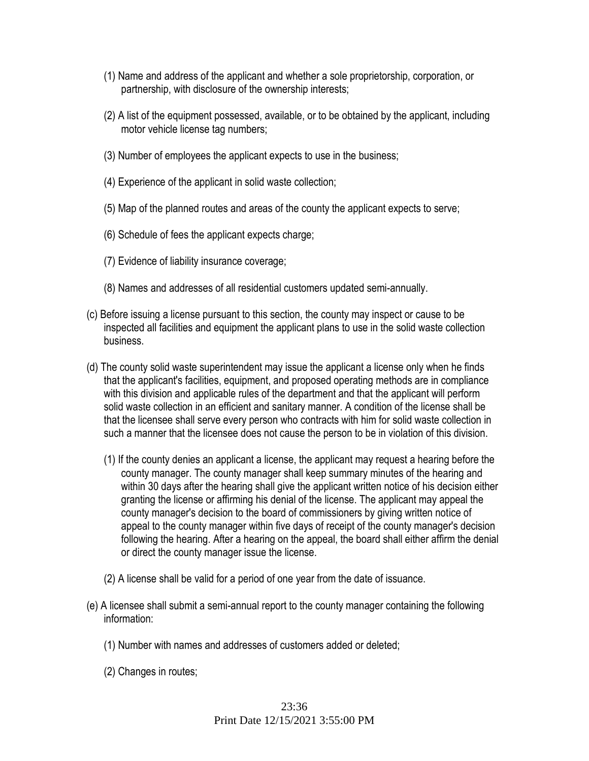- (1) Name and address of the applicant and whether a sole proprietorship, corporation, or partnership, with disclosure of the ownership interests;
- (2) A list of the equipment possessed, available, or to be obtained by the applicant, including motor vehicle license tag numbers;
- (3) Number of employees the applicant expects to use in the business;
- (4) Experience of the applicant in solid waste collection;
- (5) Map of the planned routes and areas of the county the applicant expects to serve;
- (6) Schedule of fees the applicant expects charge;
- (7) Evidence of liability insurance coverage;
- (8) Names and addresses of all residential customers updated semi-annually.
- (c) Before issuing a license pursuant to this section, the county may inspect or cause to be inspected all facilities and equipment the applicant plans to use in the solid waste collection business.
- (d) The county solid waste superintendent may issue the applicant a license only when he finds that the applicant's facilities, equipment, and proposed operating methods are in compliance with this division and applicable rules of the department and that the applicant will perform solid waste collection in an efficient and sanitary manner. A condition of the license shall be that the licensee shall serve every person who contracts with him for solid waste collection in such a manner that the licensee does not cause the person to be in violation of this division.
	- (1) If the county denies an applicant a license, the applicant may request a hearing before the county manager. The county manager shall keep summary minutes of the hearing and within 30 days after the hearing shall give the applicant written notice of his decision either granting the license or affirming his denial of the license. The applicant may appeal the county manager's decision to the board of commissioners by giving written notice of appeal to the county manager within five days of receipt of the county manager's decision following the hearing. After a hearing on the appeal, the board shall either affirm the denial or direct the county manager issue the license.
	- (2) A license shall be valid for a period of one year from the date of issuance.
- (e) A licensee shall submit a semi-annual report to the county manager containing the following information:
	- (1) Number with names and addresses of customers added or deleted;
	- (2) Changes in routes;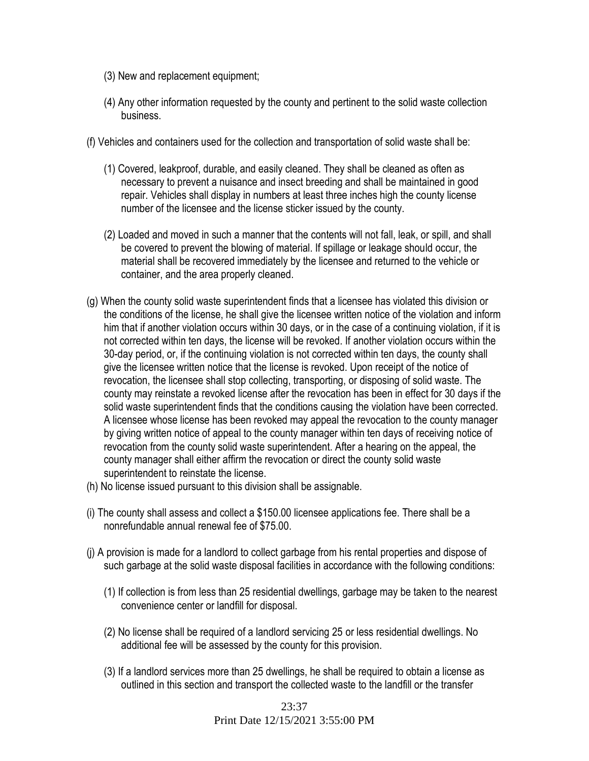- (3) New and replacement equipment;
- (4) Any other information requested by the county and pertinent to the solid waste collection business.
- (f) Vehicles and containers used for the collection and transportation of solid waste shall be:
	- (1) Covered, leakproof, durable, and easily cleaned. They shall be cleaned as often as necessary to prevent a nuisance and insect breeding and shall be maintained in good repair. Vehicles shall display in numbers at least three inches high the county license number of the licensee and the license sticker issued by the county.
	- (2) Loaded and moved in such a manner that the contents will not fall, leak, or spill, and shall be covered to prevent the blowing of material. If spillage or leakage should occur, the material shall be recovered immediately by the licensee and returned to the vehicle or container, and the area properly cleaned.
- (g) When the county solid waste superintendent finds that a licensee has violated this division or the conditions of the license, he shall give the licensee written notice of the violation and inform him that if another violation occurs within 30 days, or in the case of a continuing violation, if it is not corrected within ten days, the license will be revoked. If another violation occurs within the 30-day period, or, if the continuing violation is not corrected within ten days, the county shall give the licensee written notice that the license is revoked. Upon receipt of the notice of revocation, the licensee shall stop collecting, transporting, or disposing of solid waste. The county may reinstate a revoked license after the revocation has been in effect for 30 days if the solid waste superintendent finds that the conditions causing the violation have been corrected. A licensee whose license has been revoked may appeal the revocation to the county manager by giving written notice of appeal to the county manager within ten days of receiving notice of revocation from the county solid waste superintendent. After a hearing on the appeal, the county manager shall either affirm the revocation or direct the county solid waste superintendent to reinstate the license.
- (h) No license issued pursuant to this division shall be assignable.
- (i) The county shall assess and collect a \$150.00 licensee applications fee. There shall be a nonrefundable annual renewal fee of \$75.00.
- (j) A provision is made for a landlord to collect garbage from his rental properties and dispose of such garbage at the solid waste disposal facilities in accordance with the following conditions:
	- (1) If collection is from less than 25 residential dwellings, garbage may be taken to the nearest convenience center or landfill for disposal.
	- (2) No license shall be required of a landlord servicing 25 or less residential dwellings. No additional fee will be assessed by the county for this provision.
	- (3) If a landlord services more than 25 dwellings, he shall be required to obtain a license as outlined in this section and transport the collected waste to the landfill or the transfer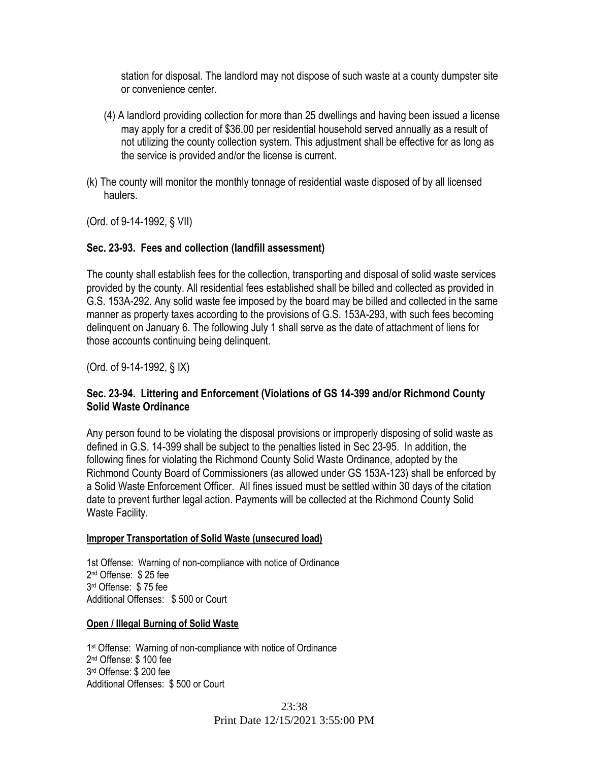station for disposal. The landlord may not dispose of such waste at a county dumpster site or convenience center.

- (4) A landlord providing collection for more than 25 dwellings and having been issued a license may apply for a credit of \$36.00 per residential household served annually as a result of not utilizing the county collection system. This adjustment shall be effective for as long as the service is provided and/or the license is current.
- (k) The county will monitor the monthly tonnage of residential waste disposed of by all licensed haulers.

(Ord. of 9-14-1992, § VII)

#### **Sec. 23-93. Fees and collection (landfill assessment)**

The county shall establish fees for the collection, transporting and disposal of solid waste services provided by the county. All residential fees established shall be billed and collected as provided in G.S. 153A-292. Any solid waste fee imposed by the board may be billed and collected in the same manner as property taxes according to the provisions of G.S. 153A-293, with such fees becoming delinquent on January 6. The following July 1 shall serve as the date of attachment of liens for those accounts continuing being delinquent.

(Ord. of 9-14-1992, § IX)

### **Sec. 23-94. Littering and Enforcement (Violations of GS 14-399 and/or Richmond County Solid Waste Ordinance**

Any person found to be violating the disposal provisions or improperly disposing of solid waste as defined in G.S. 14-399 shall be subject to the penalties listed in Sec 23-95. In addition, the following fines for violating the Richmond County Solid Waste Ordinance, adopted by the Richmond County Board of Commissioners (as allowed under GS 153A-123) shall be enforced by a Solid Waste Enforcement Officer. All fines issued must be settled within 30 days of the citation date to prevent further legal action. Payments will be collected at the Richmond County Solid Waste Facility.

#### **Improper Transportation of Solid Waste (unsecured load)**

1st Offense: Warning of non-compliance with notice of Ordinance 2 nd Offense: \$ 25 fee 3 rd Offense: \$ 75 fee Additional Offenses: \$ 500 or Court

#### **Open / Illegal Burning of Solid Waste**

1<sup>st</sup> Offense: Warning of non-compliance with notice of Ordinance 2 nd Offense: \$ 100 fee 3 rd Offense: \$ 200 fee Additional Offenses: \$ 500 or Court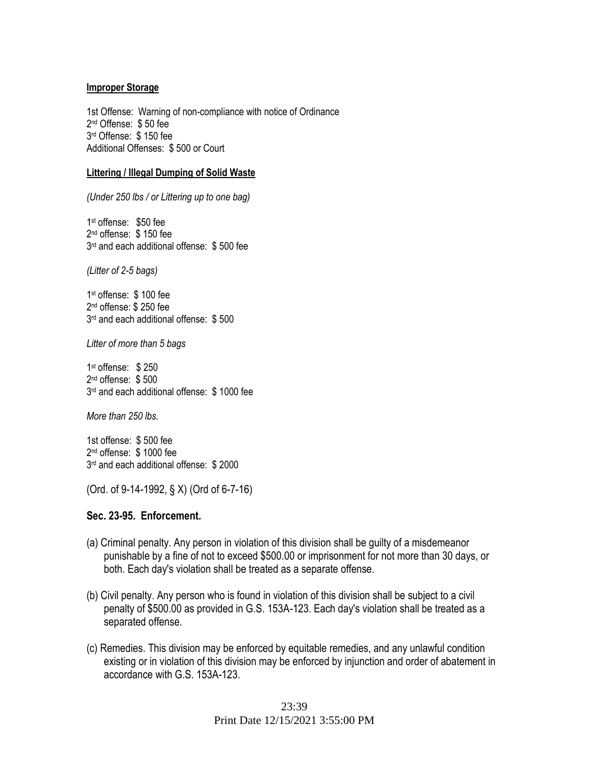#### **Improper Storage**

1st Offense: Warning of non-compliance with notice of Ordinance 2 nd Offense: \$ 50 fee 3 rd Offense: \$ 150 fee Additional Offenses: \$ 500 or Court

#### **Littering / Illegal Dumping of Solid Waste**

*(Under 250 lbs / or Littering up to one bag)*

1 st offense: \$50 fee 2 nd offense: \$ 150 fee 3 rd and each additional offense: \$ 500 fee

*(Litter of 2-5 bags)*

1 st offense: \$ 100 fee 2 nd offense: \$ 250 fee 3 rd and each additional offense: \$ 500

*Litter of more than 5 bags*

1 st offense: \$ 250 2 nd offense: \$ 500 3 rd and each additional offense: \$ 1000 fee

*More than 250 lbs.*

1st offense: \$ 500 fee 2 nd offense: \$ 1000 fee 3 rd and each additional offense: \$ 2000

(Ord. of 9-14-1992, § X) (Ord of 6-7-16)

#### **Sec. 23-95. Enforcement.**

- (a) Criminal penalty. Any person in violation of this division shall be guilty of a misdemeanor punishable by a fine of not to exceed \$500.00 or imprisonment for not more than 30 days, or both. Each day's violation shall be treated as a separate offense.
- (b) Civil penalty. Any person who is found in violation of this division shall be subject to a civil penalty of \$500.00 as provided in G.S. 153A-123. Each day's violation shall be treated as a separated offense.
- (c) Remedies. This division may be enforced by equitable remedies, and any unlawful condition existing or in violation of this division may be enforced by injunction and order of abatement in accordance with G.S. 153A-123.